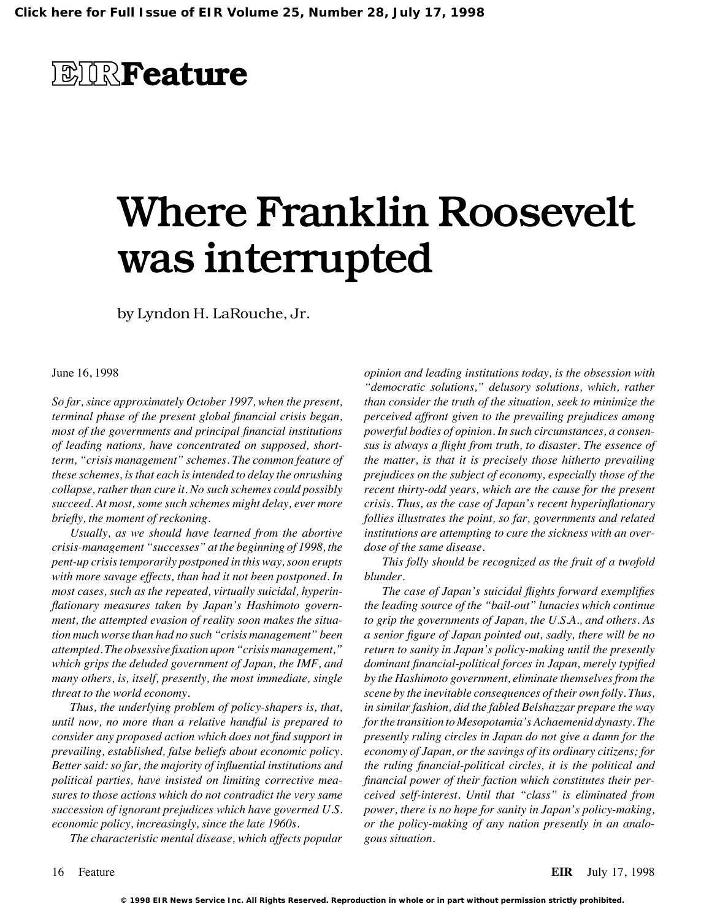### **EIRFeature**

# Where Franklin Roosevelt was interrupted

by Lyndon H. LaRouche, Jr.

#### June 16, 1998

*So far, since approximately October 1997, when the present, terminal phase of the present global financial crisis began, most of the governments and principal financial institutions of leading nations, have concentrated on supposed, shortterm, "crisis management" schemes. The common feature of these schemes, is that each is intended to delay the onrushing collapse, rather than cure it. No such schemes could possibly succeed. At most, some such schemes might delay, ever more briefly, the moment of reckoning.*

*Usually, as we should have learned from the abortive crisis-management "successes" at the beginning of 1998, the pent-up crisis temporarily postponed in this way, soon erupts with more savage effects, than had it not been postponed. In most cases, such as the repeated, virtually suicidal, hyperinflationary measures taken by Japan's Hashimoto government, the attempted evasion of reality soon makes the situation much worse than had no such "crisis management" been attempted. The obsessive fixation upon "crisis management," which grips the deluded government of Japan, the IMF, and many others, is, itself, presently, the most immediate, single threat to the world economy.*

*Thus, the underlying problem of policy-shapers is, that, until now, no more than a relative handful is prepared to consider any proposed action which does not find support in prevailing, established, false beliefs about economic policy. Better said: so far, the majority of influential institutions and political parties, have insisted on limiting corrective measures to those actions which do not contradict the very same succession of ignorant prejudices which have governed U.S. economic policy, increasingly, since the late 1960s.*

*The characteristic mental disease, which affects popular*

*opinion and leading institutions today, is the obsession with "democratic solutions," delusory solutions, which, rather than consider the truth of the situation, seek to minimize the perceived affront given to the prevailing prejudices among powerful bodies of opinion. In such circumstances, a consensus is always a flight from truth, to disaster. The essence of the matter, is that it is precisely those hitherto prevailing prejudices on the subject of economy, especially those of the recent thirty-odd years, which are the cause for the present crisis. Thus, as the case of Japan's recent hyperinflationary follies illustrates the point, so far, governments and related institutions are attempting to cure the sickness with an overdose of the same disease.*

*This folly should be recognized as the fruit of a twofold blunder.*

*The case of Japan's suicidal flights forward exemplifies the leading source of the "bail-out" lunacies which continue to grip the governments of Japan, the U.S.A., and others. As a senior figure of Japan pointed out, sadly, there will be no return to sanity in Japan's policy-making until the presently dominant financial-political forces in Japan, merely typified by the Hashimoto government, eliminate themselves from the scene by the inevitable consequences of their own folly. Thus, in similar fashion, did the fabled Belshazzar prepare the way for the transition to Mesopotamia's Achaemenid dynasty. The presently ruling circles in Japan do not give a damn for the economy of Japan, or the savings of its ordinary citizens; for the ruling financial-political circles, it is the political and financial power of their faction which constitutes their perceived self-interest. Until that "class" is eliminated from power, there is no hope for sanity in Japan's policy-making, or the policy-making of any nation presently in an analogous situation.*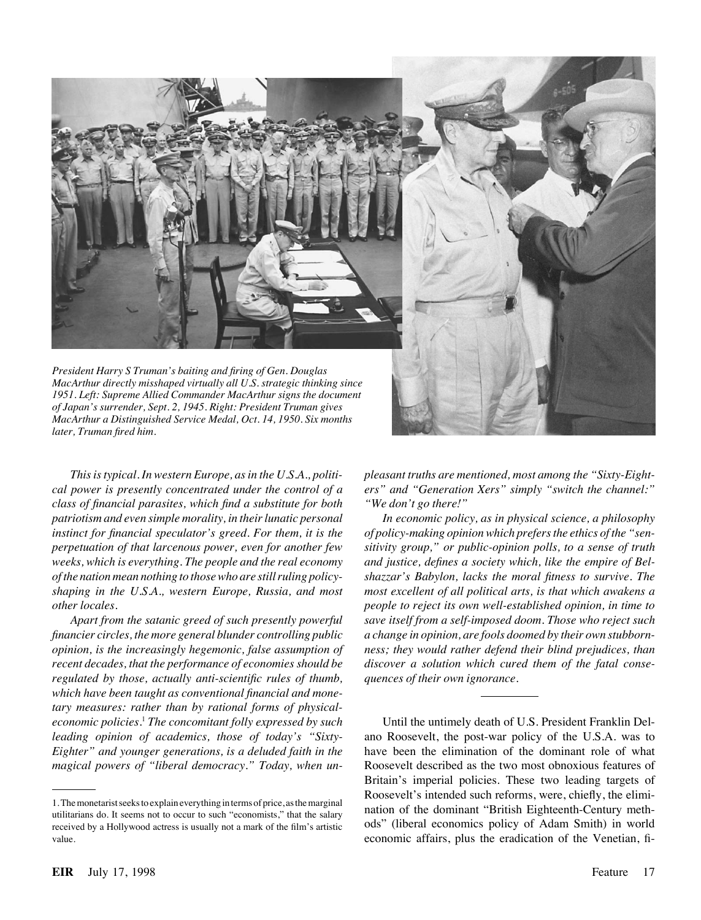

*President Harry S Truman's baiting and firing of Gen. Douglas MacArthur directly misshaped virtually all U.S. strategic thinking since 1951. Left: Supreme Allied Commander MacArthur signs the document of Japan's surrender, Sept. 2, 1945. Right: President Truman gives MacArthur a Distinguished Service Medal, Oct. 14, 1950. Six months later, Truman fired him.*



*This is typical. In western Europe, as in the U.S.A., political power is presently concentrated under the control of a class of financial parasites, which find a substitute for both patriotism and even simple morality, in their lunatic personal instinct for financial speculator's greed. For them, it is the perpetuation of that larcenous power, even for another few weeks, which is everything. The people and the real economy of the nation mean nothing to those who are still ruling policyshaping in the U.S.A., western Europe, Russia, and most other locales.*

*Apart from the satanic greed of such presently powerful financier circles, the more general blunder controlling public opinion, is the increasingly hegemonic, false assumption of recent decades, that the performance of economies should be regulated by those, actually anti-scientific rules of thumb, which have been taught as conventional financial and monetary measures: rather than by rational forms of physicaleconomic policies.*<sup>1</sup> *The concomitant folly expressed by such leading opinion of academics, those of today's "Sixty-Eighter" and younger generations, is a deluded faith in the magical powers of "liberal democracy." Today, when un-* *pleasant truths are mentioned, most among the "Sixty-Eighters" and "Generation Xers" simply "switch the channel:" "We don't go there!"*

*In economic policy, as in physical science, a philosophy of policy-making opinion which prefers the ethics of the "sensitivity group," or public-opinion polls, to a sense of truth and justice, defines a society which, like the empire of Belshazzar's Babylon, lacks the moral fitness to survive. The most excellent of all political arts, is that which awakens a people to reject its own well-established opinion, in time to save itself from a self-imposed doom. Those who reject such a change in opinion, are fools doomed by their own stubbornness; they would rather defend their blind prejudices, than discover a solution which cured them of the fatal consequences of their own ignorance.*

Until the untimely death of U.S. President Franklin Delano Roosevelt, the post-war policy of the U.S.A. was to have been the elimination of the dominant role of what Roosevelt described as the two most obnoxious features of Britain's imperial policies. These two leading targets of Roosevelt's intended such reforms, were, chiefly, the elimination of the dominant "British Eighteenth-Century methods" (liberal economics policy of Adam Smith) in world economic affairs, plus the eradication of the Venetian, fi-

<sup>1.</sup> The monetarist seeks to explain everything interms of price, as the marginal utilitarians do. It seems not to occur to such "economists," that the salary received by a Hollywood actress is usually not a mark of the film's artistic value.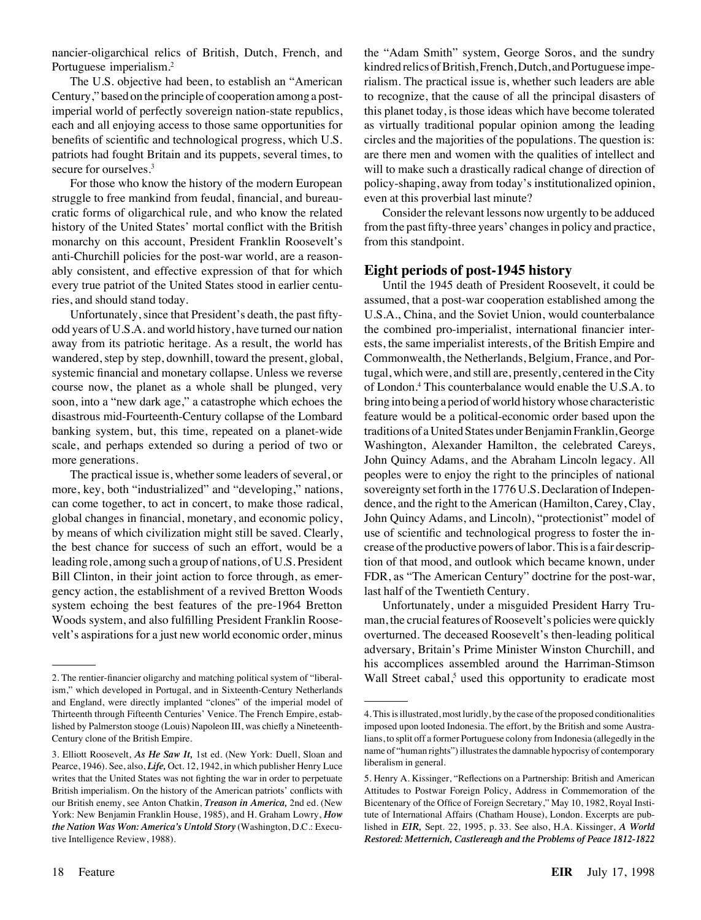nancier-oligarchical relics of British, Dutch, French, and Portuguese imperialism.2

The U.S. objective had been, to establish an "American Century," based on the principle of cooperation among a postimperial world of perfectly sovereign nation-state republics, each and all enjoying access to those same opportunities for benefits of scientific and technological progress, which U.S. patriots had fought Britain and its puppets, several times, to secure for ourselves.<sup>3</sup>

For those who know the history of the modern European struggle to free mankind from feudal, financial, and bureaucratic forms of oligarchical rule, and who know the related history of the United States' mortal conflict with the British monarchy on this account, President Franklin Roosevelt's anti-Churchill policies for the post-war world, are a reasonably consistent, and effective expression of that for which every true patriot of the United States stood in earlier centuries, and should stand today.

Unfortunately, since that President's death, the past fiftyodd years of U.S.A. and world history, have turned our nation away from its patriotic heritage. As a result, the world has wandered, step by step, downhill, toward the present, global, systemic financial and monetary collapse. Unless we reverse course now, the planet as a whole shall be plunged, very soon, into a "new dark age," a catastrophe which echoes the disastrous mid-Fourteenth-Century collapse of the Lombard banking system, but, this time, repeated on a planet-wide scale, and perhaps extended so during a period of two or more generations.

The practical issue is, whether some leaders of several, or more, key, both "industrialized" and "developing," nations, can come together, to act in concert, to make those radical, global changes in financial, monetary, and economic policy, by means of which civilization might still be saved. Clearly, the best chance for success of such an effort, would be a leading role, among such a group of nations, of U.S. President Bill Clinton, in their joint action to force through, as emergency action, the establishment of a revived Bretton Woods system echoing the best features of the pre-1964 Bretton Woods system, and also fulfilling President Franklin Roosevelt's aspirations for a just new world economic order, minus

the "Adam Smith" system, George Soros, and the sundry kindred relics of British, French, Dutch, and Portuguese imperialism. The practical issue is, whether such leaders are able to recognize, that the cause of all the principal disasters of this planet today, is those ideas which have become tolerated as virtually traditional popular opinion among the leading circles and the majorities of the populations. The question is: are there men and women with the qualities of intellect and will to make such a drastically radical change of direction of policy-shaping, away from today's institutionalized opinion, even at this proverbial last minute?

Consider the relevant lessons now urgently to be adduced from the past fifty-three years' changes in policy and practice, from this standpoint.

#### **Eight periods of post-1945 history**

Until the 1945 death of President Roosevelt, it could be assumed, that a post-war cooperation established among the U.S.A., China, and the Soviet Union, would counterbalance the combined pro-imperialist, international financier interests, the same imperialist interests, of the British Empire and Commonwealth, the Netherlands, Belgium, France, and Portugal, which were, and still are, presently, centered in the City of London.4 This counterbalance would enable the U.S.A. to bring into being a period of world history whose characteristic feature would be a political-economic order based upon the traditions of a United States under Benjamin Franklin, George Washington, Alexander Hamilton, the celebrated Careys, John Quincy Adams, and the Abraham Lincoln legacy. All peoples were to enjoy the right to the principles of national sovereignty set forth in the 1776 U.S. Declaration of Independence, and the right to the American (Hamilton, Carey, Clay, John Quincy Adams, and Lincoln), "protectionist" model of use of scientific and technological progress to foster the increase of the productive powers of labor. This is a fair description of that mood, and outlook which became known, under FDR, as "The American Century" doctrine for the post-war, last half of the Twentieth Century.

Unfortunately, under a misguided President Harry Truman, the crucial features of Roosevelt's policies were quickly overturned. The deceased Roosevelt's then-leading political adversary, Britain's Prime Minister Winston Churchill, and his accomplices assembled around the Harriman-Stimson Wall Street cabal, $<sup>5</sup>$  used this opportunity to eradicate most</sup>

<sup>2.</sup> The rentier-financier oligarchy and matching political system of "liberalism," which developed in Portugal, and in Sixteenth-Century Netherlands and England, were directly implanted "clones" of the imperial model of Thirteenth through Fifteenth Centuries' Venice. The French Empire, established by Palmerston stooge (Louis) Napoleon III, was chiefly a Nineteenth-Century clone of the British Empire.

<sup>3.</sup> Elliott Roosevelt, *As He Saw It,* 1st ed. (New York: Duell, Sloan and Pearce, 1946). See, also, *Life,* Oct. 12, 1942, in which publisher Henry Luce writes that the United States was not fighting the war in order to perpetuate British imperialism. On the history of the American patriots' conflicts with our British enemy, see Anton Chatkin, *Treason in America,* 2nd ed. (New York: New Benjamin Franklin House, 1985), and H. Graham Lowry, *How the Nation Was Won: America's Untold Story* (Washington, D.C.: Executive Intelligence Review, 1988).

<sup>4.</sup> This is illustrated, most luridly, by the case of the proposed conditionalities imposed upon looted Indonesia. The effort, by the British and some Australians, to split off a former Portuguese colony from Indonesia (allegedly in the name of "human rights") illustrates the damnable hypocrisy of contemporary liberalism in general.

<sup>5.</sup> Henry A. Kissinger, "Reflections on a Partnership: British and American Attitudes to Postwar Foreign Policy, Address in Commemoration of the Bicentenary of the Office of Foreign Secretary," May 10, 1982, Royal Institute of International Affairs (Chatham House), London. Excerpts are published in *EIR,* Sept. 22, 1995, p. 33. See also, H.A. Kissinger, *A World Restored: Metternich, Castlereagh and the Problems of Peace 1812-1822*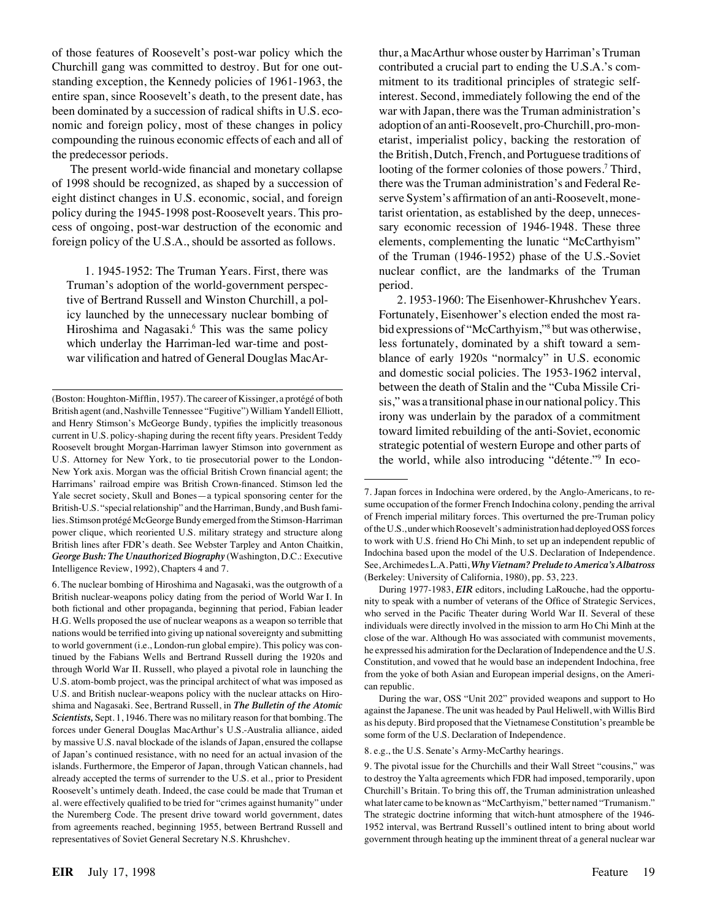of those features of Roosevelt's post-war policy which the Churchill gang was committed to destroy. But for one outstanding exception, the Kennedy policies of 1961-1963, the entire span, since Roosevelt's death, to the present date, has been dominated by a succession of radical shifts in U.S. economic and foreign policy, most of these changes in policy compounding the ruinous economic effects of each and all of the predecessor periods.

The present world-wide financial and monetary collapse of 1998 should be recognized, as shaped by a succession of eight distinct changes in U.S. economic, social, and foreign policy during the 1945-1998 post-Roosevelt years. This process of ongoing, post-war destruction of the economic and foreign policy of the U.S.A., should be assorted as follows.

1. 1945-1952: The Truman Years. First, there was Truman's adoption of the world-government perspective of Bertrand Russell and Winston Churchill, a policy launched by the unnecessary nuclear bombing of Hiroshima and Nagasaki.<sup>6</sup> This was the same policy which underlay the Harriman-led war-time and postwar vilification and hatred of General Douglas MacArthur, a MacArthur whose ouster by Harriman's Truman contributed a crucial part to ending the U.S.A.'s commitment to its traditional principles of strategic selfinterest. Second, immediately following the end of the war with Japan, there was the Truman administration's adoption of an anti-Roosevelt, pro-Churchill, pro-monetarist, imperialist policy, backing the restoration of the British, Dutch, French, and Portuguese traditions of looting of the former colonies of those powers.<sup>7</sup> Third, there was the Truman administration's and Federal Reserve System's affirmation of an anti-Roosevelt, monetarist orientation, as established by the deep, unnecessary economic recession of 1946-1948. These three elements, complementing the lunatic "McCarthyism" of the Truman (1946-1952) phase of the U.S.-Soviet nuclear conflict, are the landmarks of the Truman period.

2. 1953-1960: The Eisenhower-Khrushchev Years. Fortunately, Eisenhower's election ended the most rabid expressions of "McCarthyism,"8 but was otherwise, less fortunately, dominated by a shift toward a semblance of early 1920s "normalcy" in U.S. economic and domestic social policies. The 1953-1962 interval, between the death of Stalin and the "Cuba Missile Crisis," was a transitional phase in our national policy. This irony was underlain by the paradox of a commitment toward limited rebuilding of the anti-Soviet, economic strategic potential of western Europe and other parts of the world, while also introducing "détente."<sup>9</sup> In eco-

During the war, OSS "Unit 202" provided weapons and support to Ho against the Japanese. The unit was headed by Paul Heliwell, with Willis Bird as his deputy. Bird proposed that the Vietnamese Constitution's preamble be some form of the U.S. Declaration of Independence.

8. e.g., the U.S. Senate's Army-McCarthy hearings.

<sup>(</sup>Boston: Houghton-Mifflin, 1957). The career of Kissinger, a protégé of both British agent (and, Nashville Tennessee "Fugitive") William Yandell Elliott, and Henry Stimson's McGeorge Bundy, typifies the implicitly treasonous current in U.S. policy-shaping during the recent fifty years. President Teddy Roosevelt brought Morgan-Harriman lawyer Stimson into government as U.S. Attorney for New York, to tie prosecutorial power to the London-New York axis. Morgan was the official British Crown financial agent; the Harrimans' railroad empire was British Crown-financed. Stimson led the Yale secret society, Skull and Bones—a typical sponsoring center for the British-U.S. "special relationship" and the Harriman, Bundy, and Bush families. Stimson protégé McGeorge Bundy emerged from the Stimson-Harriman power clique, which reoriented U.S. military strategy and structure along British lines after FDR's death. See Webster Tarpley and Anton Chaitkin, *George Bush: The Unauthorized Biography* (Washington, D.C.: Executive Intelligence Review, 1992), Chapters 4 and 7.

<sup>6.</sup> The nuclear bombing of Hiroshima and Nagasaki, was the outgrowth of a British nuclear-weapons policy dating from the period of World War I. In both fictional and other propaganda, beginning that period, Fabian leader H.G. Wells proposed the use of nuclear weapons as a weapon so terrible that nations would be terrified into giving up national sovereignty and submitting to world government (i.e., London-run global empire). This policy was continued by the Fabians Wells and Bertrand Russell during the 1920s and through World War II. Russell, who played a pivotal role in launching the U.S. atom-bomb project, was the principal architect of what was imposed as U.S. and British nuclear-weapons policy with the nuclear attacks on Hiroshima and Nagasaki. See, Bertrand Russell, in *The Bulletin of the Atomic Scientists,* Sept. 1, 1946. There was no military reason for that bombing. The forces under General Douglas MacArthur's U.S.-Australia alliance, aided by massive U.S. naval blockade of the islands of Japan, ensured the collapse of Japan's continued resistance, with no need for an actual invasion of the islands. Furthermore, the Emperor of Japan, through Vatican channels, had already accepted the terms of surrender to the U.S. et al., prior to President Roosevelt's untimely death. Indeed, the case could be made that Truman et al. were effectively qualified to be tried for "crimes against humanity" under the Nuremberg Code. The present drive toward world government, dates from agreements reached, beginning 1955, between Bertrand Russell and representatives of Soviet General Secretary N.S. Khrushchev.

<sup>7.</sup> Japan forces in Indochina were ordered, by the Anglo-Americans, to resume occupation of the former French Indochina colony, pending the arrival of French imperial military forces. This overturned the pre-Truman policy of the U.S., under which Roosevelt's administration had deployed OSS forces to work with U.S. friend Ho Chi Minh, to set up an independent republic of Indochina based upon the model of the U.S. Declaration of Independence. See, Archimedes L.A. Patti,*Why Vietnam? Prelude to America's Albatross* (Berkeley: University of California, 1980), pp. 53, 223.

During 1977-1983, *EIR* editors, including LaRouche, had the opportunity to speak with a number of veterans of the Office of Strategic Services, who served in the Pacific Theater during World War II. Several of these individuals were directly involved in the mission to arm Ho Chi Minh at the close of the war. Although Ho was associated with communist movements, he expressed his admiration for the Declaration of Independence and the U.S. Constitution, and vowed that he would base an independent Indochina, free from the yoke of both Asian and European imperial designs, on the American republic.

<sup>9.</sup> The pivotal issue for the Churchills and their Wall Street "cousins," was to destroy the Yalta agreements which FDR had imposed, temporarily, upon Churchill's Britain. To bring this off, the Truman administration unleashed what later came to be known as "McCarthyism," better named "Trumanism." The strategic doctrine informing that witch-hunt atmosphere of the 1946- 1952 interval, was Bertrand Russell's outlined intent to bring about world government through heating up the imminent threat of a general nuclear war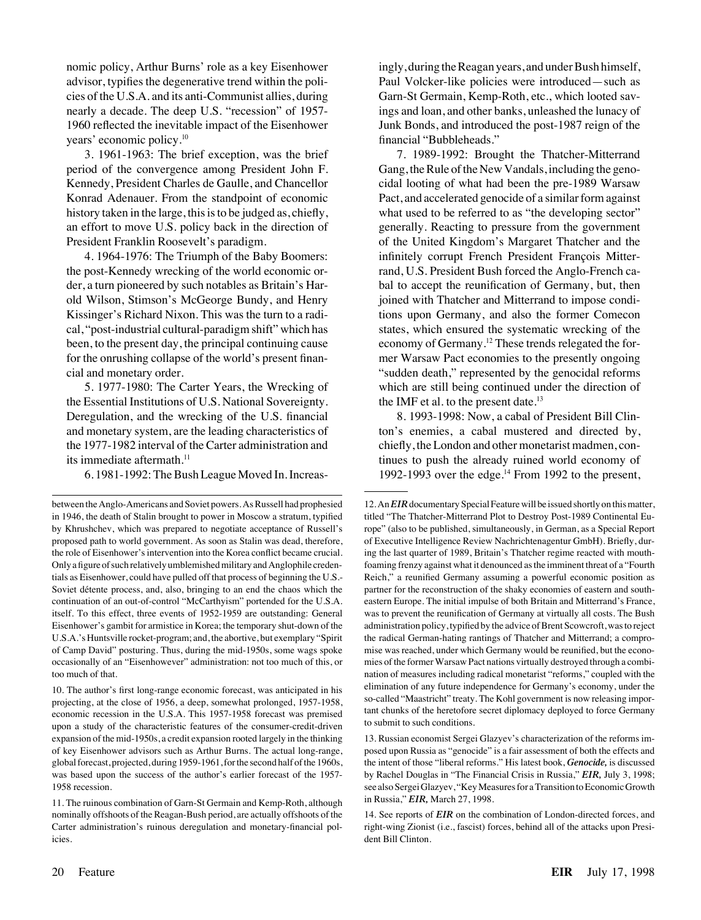nomic policy, Arthur Burns' role as a key Eisenhower advisor, typifies the degenerative trend within the policies of the U.S.A. and its anti-Communist allies, during nearly a decade. The deep U.S. "recession" of 1957- 1960 reflected the inevitable impact of the Eisenhower years' economic policy.10

3. 1961-1963: The brief exception, was the brief period of the convergence among President John F. Kennedy, President Charles de Gaulle, and Chancellor Konrad Adenauer. From the standpoint of economic history taken in the large, this is to be judged as, chiefly, an effort to move U.S. policy back in the direction of President Franklin Roosevelt's paradigm.

4. 1964-1976: The Triumph of the Baby Boomers: the post-Kennedy wrecking of the world economic order, a turn pioneered by such notables as Britain's Harold Wilson, Stimson's McGeorge Bundy, and Henry Kissinger's Richard Nixon. This was the turn to a radical, "post-industrial cultural-paradigm shift" which has been, to the present day, the principal continuing cause for the onrushing collapse of the world's present financial and monetary order.

5. 1977-1980: The Carter Years, the Wrecking of the Essential Institutions of U.S. National Sovereignty. Deregulation, and the wrecking of the U.S. financial and monetary system, are the leading characteristics of the 1977-1982 interval of the Carter administration and its immediate aftermath.<sup>11</sup>

6. 1981-1992: The Bush League Moved In. Increas-

7. 1989-1992: Brought the Thatcher-Mitterrand Gang, the Rule of the New Vandals, including the genocidal looting of what had been the pre-1989 Warsaw Pact, and accelerated genocide of a similar form against what used to be referred to as "the developing sector" generally. Reacting to pressure from the government of the United Kingdom's Margaret Thatcher and the infinitely corrupt French President François Mitterrand, U.S. President Bush forced the Anglo-French cabal to accept the reunification of Germany, but, then joined with Thatcher and Mitterrand to impose conditions upon Germany, and also the former Comecon states, which ensured the systematic wrecking of the economy of Germany.<sup>12</sup> These trends relegated the former Warsaw Pact economies to the presently ongoing "sudden death," represented by the genocidal reforms which are still being continued under the direction of the IMF et al. to the present date. $13$ 

8. 1993-1998: Now, a cabal of President Bill Clinton's enemies, a cabal mustered and directed by, chiefly, the London and other monetarist madmen, continues to push the already ruined world economy of 1992-1993 over the edge.<sup>14</sup> From 1992 to the present,

between the Anglo-Americans and Soviet powers. As Russell had prophesied in 1946, the death of Stalin brought to power in Moscow a stratum, typified by Khrushchev, which was prepared to negotiate acceptance of Russell's proposed path to world government. As soon as Stalin was dead, therefore, the role of Eisenhower's intervention into the Korea conflict became crucial. Only afigure of such relatively umblemished military and Anglophile credentials as Eisenhower, could have pulled off that process of beginning the U.S.- Soviet détente process, and, also, bringing to an end the chaos which the continuation of an out-of-control "McCarthyism" portended for the U.S.A. itself. To this effect, three events of 1952-1959 are outstanding: General Eisenhower's gambit for armistice in Korea; the temporary shut-down of the U.S.A.'s Huntsville rocket-program; and, the abortive, but exemplary "Spirit of Camp David" posturing. Thus, during the mid-1950s, some wags spoke occasionally of an "Eisenhowever" administration: not too much of this, or too much of that.

<sup>10.</sup> The author's first long-range economic forecast, was anticipated in his projecting, at the close of 1956, a deep, somewhat prolonged, 1957-1958, economic recession in the U.S.A. This 1957-1958 forecast was premised upon a study of the characteristic features of the consumer-credit-driven expansion of the mid-1950s, a credit expansion rooted largely in the thinking of key Eisenhower advisors such as Arthur Burns. The actual long-range, global forecast, projected, during 1959-1961, for the second half of the 1960s, was based upon the success of the author's earlier forecast of the 1957- 1958 recession.

<sup>11.</sup> The ruinous combination of Garn-St Germain and Kemp-Roth, although nominally offshoots of the Reagan-Bush period, are actually offshoots of the Carter administration's ruinous deregulation and monetary-financial policies.

<sup>12.</sup> An*EIR*documentary Special Feature will be issued shortly on this matter, titled "The Thatcher-Mitterrand Plot to Destroy Post-1989 Continental Europe" (also to be published, simultaneously, in German, as a Special Report of Executive Intelligence Review Nachrichtenagentur GmbH). Briefly, during the last quarter of 1989, Britain's Thatcher regime reacted with mouthfoaming frenzy against what it denounced as the imminent threat of a "Fourth Reich," a reunified Germany assuming a powerful economic position as partner for the reconstruction of the shaky economies of eastern and southeastern Europe. The initial impulse of both Britain and Mitterrand's France, was to prevent the reunification of Germany at virtually all costs. The Bush administration policy, typified by the advice of Brent Scowcroft, was to reject the radical German-hating rantings of Thatcher and Mitterrand; a compromise was reached, under which Germany would be reunified, but the economies of the former Warsaw Pact nations virtually destroyed through a combination of measures including radical monetarist "reforms," coupled with the elimination of any future independence for Germany's economy, under the so-called "Maastricht" treaty. The Kohl government is now releasing important chunks of the heretofore secret diplomacy deployed to force Germany to submit to such conditions.

<sup>13.</sup> Russian economist Sergei Glazyev's characterization of the reforms imposed upon Russia as "genocide" is a fair assessment of both the effects and the intent of those "liberal reforms." His latest book, *Genocide,* is discussed by Rachel Douglas in "The Financial Crisis in Russia," *EIR,* July 3, 1998; see also Sergei Glazyev, "Key Measures for a Transition to Economic Growth in Russia," *EIR,* March 27, 1998.

<sup>14.</sup> See reports of *EIR* on the combination of London-directed forces, and right-wing Zionist (i.e., fascist) forces, behind all of the attacks upon President Bill Clinton.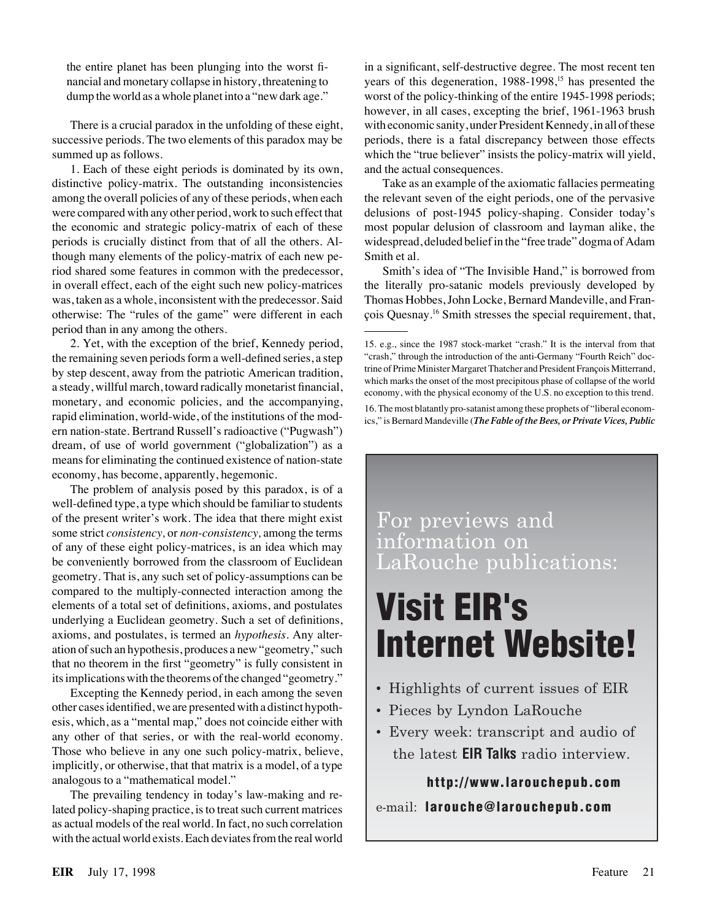the entire planet has been plunging into the worst financial and monetary collapse in history, threatening to dump the world as a whole planet into a "new dark age."

There is a crucial paradox in the unfolding of these eight, successive periods. The two elements of this paradox may be summed up as follows.

1. Each of these eight periods is dominated by its own, distinctive policy-matrix. The outstanding inconsistencies among the overall policies of any of these periods, when each were compared with any other period, work to such effect that the economic and strategic policy-matrix of each of these periods is crucially distinct from that of all the others. Although many elements of the policy-matrix of each new period shared some features in common with the predecessor, in overall effect, each of the eight such new policy-matrices was, taken as a whole, inconsistent with the predecessor. Said otherwise: The "rules of the game" were different in each period than in any among the others.

2. Yet, with the exception of the brief, Kennedy period, the remaining seven periods form a well-defined series, a step by step descent, away from the patriotic American tradition, a steady, willful march, toward radically monetarist financial, monetary, and economic policies, and the accompanying, rapid elimination, world-wide, of the institutions of the modern nation-state. Bertrand Russell's radioactive ("Pugwash") dream, of use of world government ("globalization") as a means for eliminating the continued existence of nation-state economy, has become, apparently, hegemonic.

The problem of analysis posed by this paradox, is of a well-defined type, a type which should be familiar to students of the present writer's work. The idea that there might exist some strict *consistency,* or *non-consistency,* among the terms of any of these eight policy-matrices, is an idea which may be conveniently borrowed from the classroom of Euclidean geometry. That is, any such set of policy-assumptions can be compared to the multiply-connected interaction among the elements of a total set of definitions, axioms, and postulates underlying a Euclidean geometry. Such a set of definitions, axioms, and postulates, is termed an *hypothesis.* Any alteration of such an hypothesis, produces a new "geometry," such that no theorem in the first "geometry" is fully consistent in its implications with the theorems of the changed "geometry."

Excepting the Kennedy period, in each among the seven other cases identified, we are presented with a distinct hypothesis, which, as a "mental map," does not coincide either with any other of that series, or with the real-world economy. Those who believe in any one such policy-matrix, believe, implicitly, or otherwise, that that matrix is a model, of a type analogous to a "mathematical model."

The prevailing tendency in today's law-making and related policy-shaping practice, is to treat such current matrices as actual models of the real world. In fact, no such correlation with the actual world exists. Each deviates from the real world

in a significant, self-destructive degree. The most recent ten years of this degeneration,  $1988-1998$ ,<sup>15</sup> has presented the worst of the policy-thinking of the entire 1945-1998 periods; however, in all cases, excepting the brief, 1961-1963 brush with economic sanity, under President Kennedy, in all of these periods, there is a fatal discrepancy between those effects which the "true believer" insists the policy-matrix will yield, and the actual consequences.

Take as an example of the axiomatic fallacies permeating the relevant seven of the eight periods, one of the pervasive delusions of post-1945 policy-shaping. Consider today's most popular delusion of classroom and layman alike, the widespread, deluded belief in the "free trade" dogma of Adam Smith et al.

Smith's idea of "The Invisible Hand," is borrowed from the literally pro-satanic models previously developed by Thomas Hobbes, John Locke, Bernard Mandeville, and François Quesnay.<sup>16</sup> Smith stresses the special requirement, that,

16. The most blatantly pro-satanist among these prophets of "liberal economics," is Bernard Mandeville (*The Fable of the Bees, or Private Vices, Public*

For previews and information on LaRouche publications:

## **Visit EIR's Internet Website!**

- Highlights of current issues of EIR
- Pieces by Lyndon LaRouche
- Every week: transcript and audio of the latest **EIR Talks** radio interview.

**http://www.larouchepub.com**

#### e-mail: **larouche@larouchepub.com**

<sup>15.</sup> e.g., since the 1987 stock-market "crash." It is the interval from that "crash," through the introduction of the anti-Germany "Fourth Reich" doctrine of Prime Minister Margaret Thatcher and President François Mitterrand, which marks the onset of the most precipitous phase of collapse of the world economy, with the physical economy of the U.S. no exception to this trend.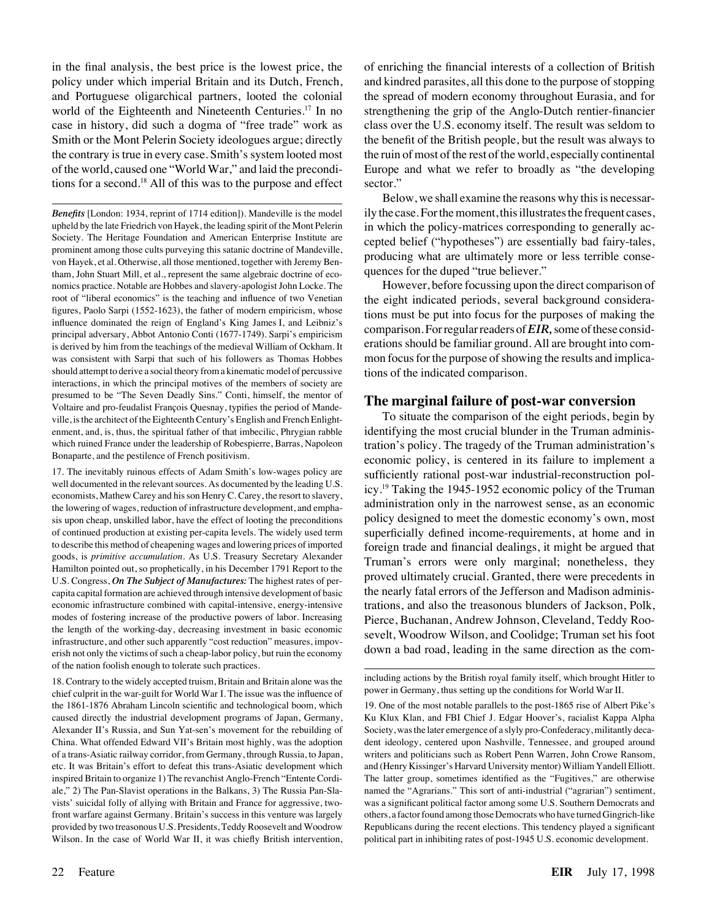in the final analysis, the best price is the lowest price, the policy under which imperial Britain and its Dutch, French, and Portuguese oligarchical partners, looted the colonial world of the Eighteenth and Nineteenth Centuries.<sup>17</sup> In no case in history, did such a dogma of "free trade" work as Smith or the Mont Pelerin Society ideologues argue; directly the contrary is true in every case. Smith's system looted most of the world, caused one "World War," and laid the preconditions for a second.18 All of this was to the purpose and effect

*Benefits* [London: 1934, reprint of 1714 edition]). Mandeville is the model upheld by the late Friedrich von Hayek, the leading spirit of the Mont Pelerin Society. The Heritage Foundation and American Enterprise Institute are prominent among those cults purveying this satanic doctrine of Mandeville, von Hayek, et al. Otherwise, all those mentioned, together with Jeremy Bentham, John Stuart Mill, et al., represent the same algebraic doctrine of economics practice. Notable are Hobbes and slavery-apologist John Locke. The root of "liberal economics" is the teaching and influence of two Venetian figures, Paolo Sarpi (1552-1623), the father of modern empiricism, whose influence dominated the reign of England's King James I, and Leibniz's principal adversary, Abbot Antonio Conti (1677-1749). Sarpi's empiricism is derived by him from the teachings of the medieval William of Ockham. It was consistent with Sarpi that such of his followers as Thomas Hobbes should attempt to derive a social theory from a kinematic model of percussive interactions, in which the principal motives of the members of society are presumed to be "The Seven Deadly Sins." Conti, himself, the mentor of Voltaire and pro-feudalist François Quesnay, typifies the period of Mandeville, is the architect of the Eighteenth Century's English and French Enlightenment, and, is, thus, the spiritual father of that imbecilic, Phrygian rabble which ruined France under the leadership of Robespierre, Barras, Napoleon Bonaparte, and the pestilence of French positivism.

17. The inevitably ruinous effects of Adam Smith's low-wages policy are well documented in the relevant sources. As documented by the leading U.S. economists, Mathew Carey and his son Henry C. Carey, the resort to slavery, the lowering of wages, reduction of infrastructure development, and emphasis upon cheap, unskilled labor, have the effect of looting the preconditions of continued production at existing per-capita levels. The widely used term to describe this method of cheapening wages and lowering prices of imported goods, is *primitive accumulation.* As U.S. Treasury Secretary Alexander Hamilton pointed out, so prophetically, in his December 1791 Report to the U.S. Congress, *On The Subject of Manufactures:* The highest rates of percapita capital formation are achieved through intensive development of basic economic infrastructure combined with capital-intensive, energy-intensive modes of fostering increase of the productive powers of labor. Increasing the length of the working-day, decreasing investment in basic economic infrastructure, and other such apparently "cost reduction" measures, impoverish not only the victims of such a cheap-labor policy, but ruin the economy of the nation foolish enough to tolerate such practices.

18. Contrary to the widely accepted truism, Britain and Britain alone was the chief culprit in the war-guilt for World War I. The issue was the influence of the 1861-1876 Abraham Lincoln scientific and technological boom, which caused directly the industrial development programs of Japan, Germany, Alexander II's Russia, and Sun Yat-sen's movement for the rebuilding of China. What offended Edward VII's Britain most highly, was the adoption of a trans-Asiatic railway corridor, from Germany, through Russia, to Japan, etc. It was Britain's effort to defeat this trans-Asiatic development which inspired Britain to organize 1) The revanchist Anglo-French "Entente Cordiale," 2) The Pan-Slavist operations in the Balkans, 3) The Russia Pan-Slavists' suicidal folly of allying with Britain and France for aggressive, twofront warfare against Germany. Britain's success in this venture was largely provided by two treasonous U.S. Presidents, Teddy Roosevelt and Woodrow Wilson. In the case of World War II, it was chiefly British intervention,

of enriching the financial interests of a collection of British and kindred parasites, all this done to the purpose of stopping the spread of modern economy throughout Eurasia, and for strengthening the grip of the Anglo-Dutch rentier-financier class over the U.S. economy itself. The result was seldom to the benefit of the British people, but the result was always to the ruin of most of the rest of the world, especially continental Europe and what we refer to broadly as "the developing sector."

Below, we shall examine the reasons why this is necessarily the case. For the moment, this illustrates the frequent cases, in which the policy-matrices corresponding to generally accepted belief ("hypotheses") are essentially bad fairy-tales, producing what are ultimately more or less terrible consequences for the duped "true believer."

However, before focussing upon the direct comparison of the eight indicated periods, several background considerations must be put into focus for the purposes of making the comparison. For regular readers of*EIR,*some of these considerations should be familiar ground. All are brought into common focus for the purpose of showing the results and implications of the indicated comparison.

#### **The marginal failure of post-war conversion**

To situate the comparison of the eight periods, begin by identifying the most crucial blunder in the Truman administration's policy. The tragedy of the Truman administration's economic policy, is centered in its failure to implement a sufficiently rational post-war industrial-reconstruction policy.19 Taking the 1945-1952 economic policy of the Truman administration only in the narrowest sense, as an economic policy designed to meet the domestic economy's own, most superficially defined income-requirements, at home and in foreign trade and financial dealings, it might be argued that Truman's errors were only marginal; nonetheless, they proved ultimately crucial. Granted, there were precedents in the nearly fatal errors of the Jefferson and Madison administrations, and also the treasonous blunders of Jackson, Polk, Pierce, Buchanan, Andrew Johnson, Cleveland, Teddy Roosevelt, Woodrow Wilson, and Coolidge; Truman set his foot down a bad road, leading in the same direction as the com-

including actions by the British royal family itself, which brought Hitler to power in Germany, thus setting up the conditions for World War II.

19. One of the most notable parallels to the post-1865 rise of Albert Pike's Ku Klux Klan, and FBI Chief J. Edgar Hoover's, racialist Kappa Alpha Society, was the later emergence of a slyly pro-Confederacy, militantly decadent ideology, centered upon Nashville, Tennessee, and grouped around writers and politicians such as Robert Penn Warren, John Crowe Ransom, and (Henry Kissinger's Harvard University mentor) William Yandell Elliott. The latter group, sometimes identified as the "Fugitives," are otherwise named the "Agrarians." This sort of anti-industrial ("agrarian") sentiment, was a significant political factor among some U.S. Southern Democrats and others, a factor found among those Democrats who have turned Gingrich-like Republicans during the recent elections. This tendency played a significant political part in inhibiting rates of post-1945 U.S. economic development.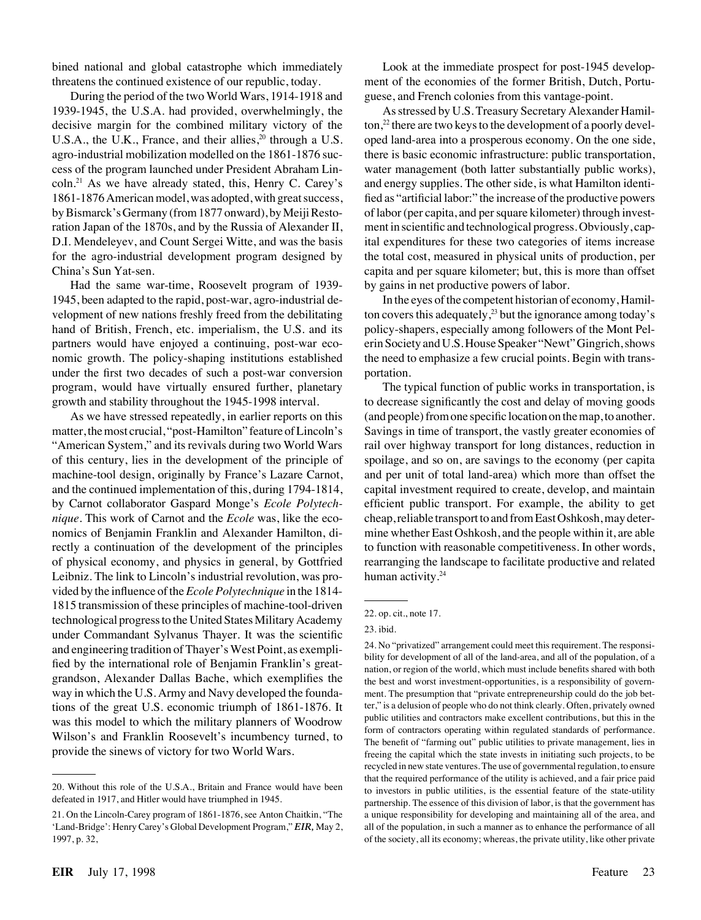bined national and global catastrophe which immediately threatens the continued existence of our republic, today.

During the period of the two World Wars, 1914-1918 and 1939-1945, the U.S.A. had provided, overwhelmingly, the decisive margin for the combined military victory of the U.S.A., the U.K., France, and their allies, $20$  through a U.S. agro-industrial mobilization modelled on the 1861-1876 success of the program launched under President Abraham Lincoln.21 As we have already stated, this, Henry C. Carey's 1861-1876 American model, was adopted, with great success, by Bismarck's Germany (from 1877 onward), by Meiji Restoration Japan of the 1870s, and by the Russia of Alexander II, D.I. Mendeleyev, and Count Sergei Witte, and was the basis for the agro-industrial development program designed by China's Sun Yat-sen.

Had the same war-time, Roosevelt program of 1939- 1945, been adapted to the rapid, post-war, agro-industrial development of new nations freshly freed from the debilitating hand of British, French, etc. imperialism, the U.S. and its partners would have enjoyed a continuing, post-war economic growth. The policy-shaping institutions established under the first two decades of such a post-war conversion program, would have virtually ensured further, planetary growth and stability throughout the 1945-1998 interval.

As we have stressed repeatedly, in earlier reports on this matter, the most crucial, "post-Hamilton" feature of Lincoln's "American System," and its revivals during two World Wars of this century, lies in the development of the principle of machine-tool design, originally by France's Lazare Carnot, and the continued implementation of this, during 1794-1814, by Carnot collaborator Gaspard Monge's *Ecole Polytechnique.* This work of Carnot and the *Ecole* was, like the economics of Benjamin Franklin and Alexander Hamilton, directly a continuation of the development of the principles of physical economy, and physics in general, by Gottfried Leibniz. The link to Lincoln's industrial revolution, was provided by the influence of the*Ecole Polytechnique* in the 1814- 1815 transmission of these principles of machine-tool-driven technological progress to the United States Military Academy under Commandant Sylvanus Thayer. It was the scientific and engineering tradition of Thayer's West Point, as exemplified by the international role of Benjamin Franklin's greatgrandson, Alexander Dallas Bache, which exemplifies the way in which the U.S. Army and Navy developed the foundations of the great U.S. economic triumph of 1861-1876. It was this model to which the military planners of Woodrow Wilson's and Franklin Roosevelt's incumbency turned, to provide the sinews of victory for two World Wars.

Look at the immediate prospect for post-1945 development of the economies of the former British, Dutch, Portuguese, and French colonies from this vantage-point.

As stressed by U.S. Treasury Secretary Alexander Hamil- $\frac{1}{2}$  there are two keys to the development of a poorly developed land-area into a prosperous economy. On the one side, there is basic economic infrastructure: public transportation, water management (both latter substantially public works), and energy supplies. The other side, is what Hamilton identified as "artificial labor:" the increase of the productive powers of labor (per capita, and per square kilometer) through investment in scientific and technological progress. Obviously, capital expenditures for these two categories of items increase the total cost, measured in physical units of production, per capita and per square kilometer; but, this is more than offset by gains in net productive powers of labor.

In the eyes of the competent historian of economy, Hamilton covers this adequately, $2<sup>3</sup>$  but the ignorance among today's policy-shapers, especially among followers of the Mont Pelerin Society and U.S. House Speaker "Newt" Gingrich, shows the need to emphasize a few crucial points. Begin with transportation.

The typical function of public works in transportation, is to decrease significantly the cost and delay of moving goods (and people) from one specific location on the map, to another. Savings in time of transport, the vastly greater economies of rail over highway transport for long distances, reduction in spoilage, and so on, are savings to the economy (per capita and per unit of total land-area) which more than offset the capital investment required to create, develop, and maintain efficient public transport. For example, the ability to get cheap, reliable transport to and from East Oshkosh, may determine whether East Oshkosh, and the people within it, are able to function with reasonable competitiveness. In other words, rearranging the landscape to facilitate productive and related human activity.<sup>24</sup>

23. ibid.

<sup>20.</sup> Without this role of the U.S.A., Britain and France would have been defeated in 1917, and Hitler would have triumphed in 1945.

<sup>21.</sup> On the Lincoln-Carey program of 1861-1876, see Anton Chaitkin, "The 'Land-Bridge': Henry Carey's Global Development Program," *EIR,* May 2, 1997, p. 32,

<sup>22.</sup> op. cit., note 17.

<sup>24.</sup> No "privatized" arrangement could meet this requirement. The responsibility for development of all of the land-area, and all of the population, of a nation, or region of the world, which must include benefits shared with both the best and worst investment-opportunities, is a responsibility of government. The presumption that "private entrepreneurship could do the job better," is a delusion of people who do not think clearly. Often, privately owned public utilities and contractors make excellent contributions, but this in the form of contractors operating within regulated standards of performance. The benefit of "farming out" public utilities to private management, lies in freeing the capital which the state invests in initiating such projects, to be recycled in new state ventures. The use of governmental regulation, to ensure that the required performance of the utility is achieved, and a fair price paid to investors in public utilities, is the essential feature of the state-utility partnership. The essence of this division of labor, is that the government has a unique responsibility for developing and maintaining all of the area, and all of the population, in such a manner as to enhance the performance of all of the society, all its economy; whereas, the private utility, like other private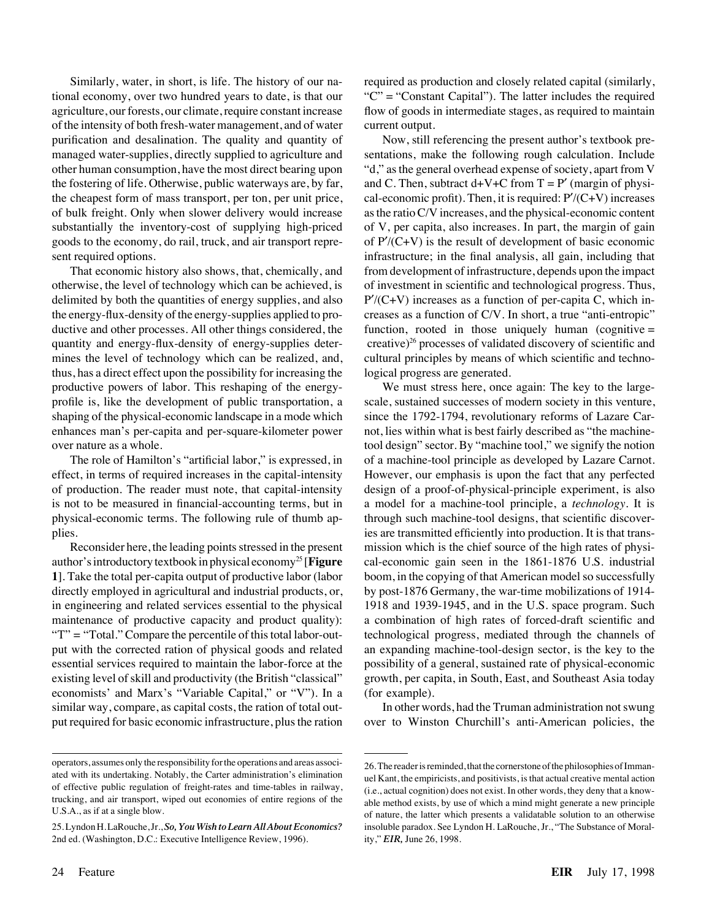Similarly, water, in short, is life. The history of our national economy, over two hundred years to date, is that our agriculture, our forests, our climate, require constant increase of the intensity of both fresh-water management, and of water purification and desalination. The quality and quantity of managed water-supplies, directly supplied to agriculture and other human consumption, have the most direct bearing upon the fostering of life. Otherwise, public waterways are, by far, the cheapest form of mass transport, per ton, per unit price, of bulk freight. Only when slower delivery would increase substantially the inventory-cost of supplying high-priced goods to the economy, do rail, truck, and air transport represent required options.

That economic history also shows, that, chemically, and otherwise, the level of technology which can be achieved, is delimited by both the quantities of energy supplies, and also the energy-flux-density of the energy-supplies applied to productive and other processes. All other things considered, the quantity and energy-flux-density of energy-supplies determines the level of technology which can be realized, and, thus, has a direct effect upon the possibility for increasing the productive powers of labor. This reshaping of the energyprofile is, like the development of public transportation, a shaping of the physical-economic landscape in a mode which enhances man's per-capita and per-square-kilometer power over nature as a whole.

The role of Hamilton's "artificial labor," is expressed, in effect, in terms of required increases in the capital-intensity of production. The reader must note, that capital-intensity is not to be measured in financial-accounting terms, but in physical-economic terms. The following rule of thumb applies.

Reconsider here, the leading points stressed in the present author's introductory textbook in physical economy25 [**Figure 1**]. Take the total per-capita output of productive labor (labor directly employed in agricultural and industrial products, or, in engineering and related services essential to the physical maintenance of productive capacity and product quality): "T" = "Total." Compare the percentile of this total labor-output with the corrected ration of physical goods and related essential services required to maintain the labor-force at the existing level of skill and productivity (the British "classical" economists' and Marx's "Variable Capital," or "V"). In a similar way, compare, as capital costs, the ration of total output required for basic economic infrastructure, plus the ration required as production and closely related capital (similarly, "C" = "Constant Capital"). The latter includes the required flow of goods in intermediate stages, as required to maintain current output.

Now, still referencing the present author's textbook presentations, make the following rough calculation. Include "d," as the general overhead expense of society, apart from V and C. Then, subtract  $d+V+C$  from  $T=P'$  (margin of physical-economic profit). Then, it is required:  $P'/(C+V)$  increases as the ratio C/V increases, and the physical-economic content of V, per capita, also increases. In part, the margin of gain of  $P'$ /(C+V) is the result of development of basic economic infrastructure; in the final analysis, all gain, including that from development of infrastructure, depends upon the impact of investment in scientific and technological progress. Thus,  $P'$ (C+V) increases as a function of per-capita C, which increases as a function of C/V. In short, a true "anti-entropic" function, rooted in those uniquely human (cognitive  $=$ creative) $^{26}$  processes of validated discovery of scientific and cultural principles by means of which scientific and technological progress are generated.

We must stress here, once again: The key to the largescale, sustained successes of modern society in this venture, since the 1792-1794, revolutionary reforms of Lazare Carnot, lies within what is best fairly described as "the machinetool design" sector. By "machine tool," we signify the notion of a machine-tool principle as developed by Lazare Carnot. However, our emphasis is upon the fact that any perfected design of a proof-of-physical-principle experiment, is also a model for a machine-tool principle, a *technology.* It is through such machine-tool designs, that scientific discoveries are transmitted efficiently into production. It is that transmission which is the chief source of the high rates of physical-economic gain seen in the 1861-1876 U.S. industrial boom, in the copying of that American model so successfully by post-1876 Germany, the war-time mobilizations of 1914- 1918 and 1939-1945, and in the U.S. space program. Such a combination of high rates of forced-draft scientific and technological progress, mediated through the channels of an expanding machine-tool-design sector, is the key to the possibility of a general, sustained rate of physical-economic growth, per capita, in South, East, and Southeast Asia today (for example).

In other words, had the Truman administration not swung over to Winston Churchill's anti-American policies, the

operators, assumes only the responsibility for the operations and areas associated with its undertaking. Notably, the Carter administration's elimination of effective public regulation of freight-rates and time-tables in railway, trucking, and air transport, wiped out economies of entire regions of the U.S.A., as if at a single blow.

<sup>25.</sup> Lyndon H. LaRouche, Jr.,*So, You Wish to Learn All About Economics?* 2nd ed. (Washington, D.C.: Executive Intelligence Review, 1996).

<sup>26.</sup> The reader is reminded, that the cornerstone of the philosophies of Immanuel Kant, the empiricists, and positivists, is that actual creative mental action (i.e., actual cognition) does not exist. In other words, they deny that a knowable method exists, by use of which a mind might generate a new principle of nature, the latter which presents a validatable solution to an otherwise insoluble paradox. See Lyndon H. LaRouche, Jr., "The Substance of Morality," *EIR,* June 26, 1998.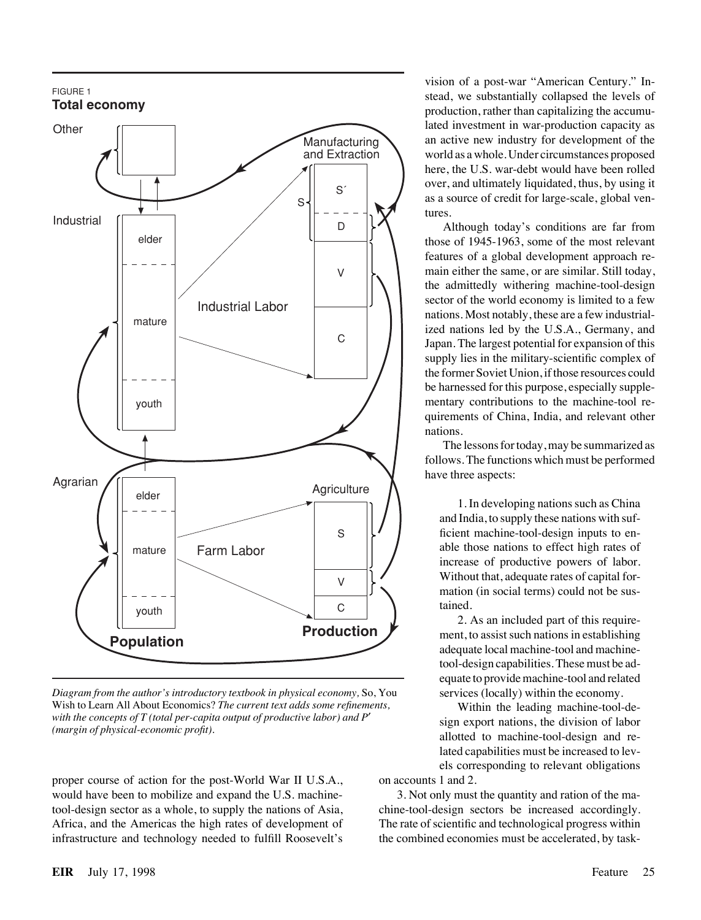

*Diagram from the author's introductory textbook in physical economy,* So, You Wish to Learn All About Economics? *The current text adds some refinements, with the concepts of T (total per-capita output of productive labor) and P*′ *(margin of physical-economic profit).*

proper course of action for the post-World War II U.S.A., would have been to mobilize and expand the U.S. machinetool-design sector as a whole, to supply the nations of Asia, Africa, and the Americas the high rates of development of infrastructure and technology needed to fulfill Roosevelt's

vision of a post-war "American Century." Instead, we substantially collapsed the levels of production, rather than capitalizing the accumulated investment in war-production capacity as an active new industry for development of the world as a whole. Under circumstances proposed here, the U.S. war-debt would have been rolled over, and ultimately liquidated, thus, by using it as a source of credit for large-scale, global ventures.

Although today's conditions are far from those of 1945-1963, some of the most relevant features of a global development approach remain either the same, or are similar. Still today, the admittedly withering machine-tool-design sector of the world economy is limited to a few nations. Most notably, these are a few industrialized nations led by the U.S.A., Germany, and Japan. The largest potential for expansion of this supply lies in the military-scientific complex of the former Soviet Union, if those resources could be harnessed for this purpose, especially supplementary contributions to the machine-tool requirements of China, India, and relevant other nations.

The lessons for today, may be summarized as follows. The functions which must be performed have three aspects:

1. In developing nations such as China and India, to supply these nations with sufficient machine-tool-design inputs to enable those nations to effect high rates of increase of productive powers of labor. Without that, adequate rates of capital formation (in social terms) could not be sustained.

2. As an included part of this requirement, to assist such nations in establishing adequate local machine-tool and machinetool-design capabilities. These must be adequate to provide machine-tool and related services (locally) within the economy.

Within the leading machine-tool-design export nations, the division of labor allotted to machine-tool-design and related capabilities must be increased to levels corresponding to relevant obligations on accounts 1 and 2.

3. Not only must the quantity and ration of the machine-tool-design sectors be increased accordingly. The rate of scientific and technological progress within the combined economies must be accelerated, by task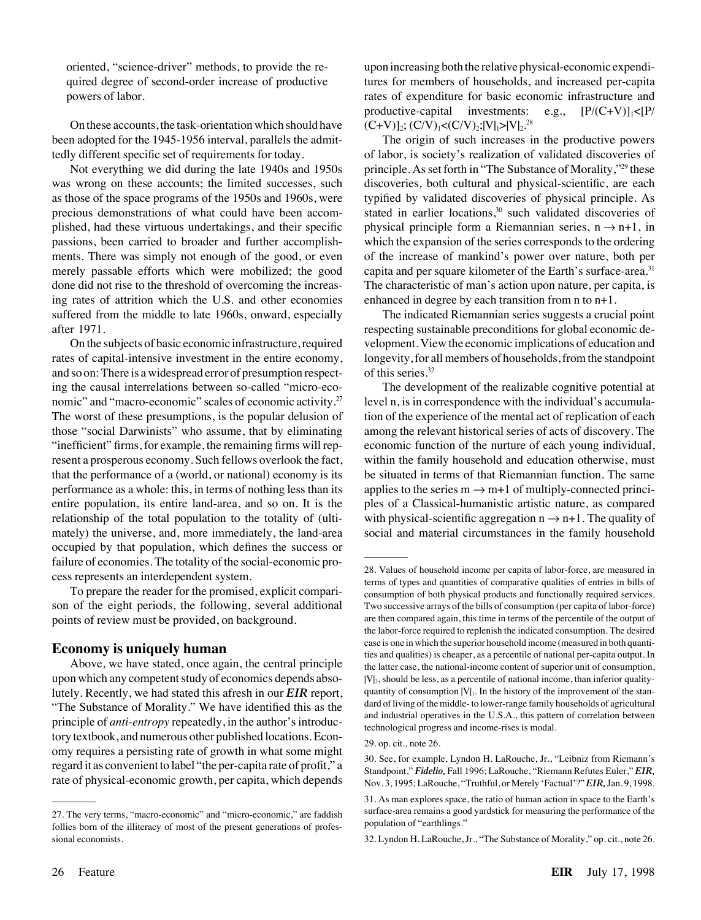oriented, "science-driver" methods, to provide the required degree of second-order increase of productive powers of labor.

On these accounts, the task-orientation which should have been adopted for the 1945-1956 interval, parallels the admittedly different specific set of requirements for today.

Not everything we did during the late 1940s and 1950s was wrong on these accounts; the limited successes, such as those of the space programs of the 1950s and 1960s, were precious demonstrations of what could have been accomplished, had these virtuous undertakings, and their specific passions, been carried to broader and further accomplishments. There was simply not enough of the good, or even merely passable efforts which were mobilized; the good done did not rise to the threshold of overcoming the increasing rates of attrition which the U.S. and other economies suffered from the middle to late 1960s, onward, especially after 1971.

On the subjects of basic economic infrastructure, required rates of capital-intensive investment in the entire economy, and so on: There is a widespread error of presumption respecting the causal interrelations between so-called "micro-economic" and "macro-economic" scales of economic activity.<sup>27</sup> The worst of these presumptions, is the popular delusion of those "social Darwinists" who assume, that by eliminating "inefficient" firms, for example, the remaining firms will represent a prosperous economy. Such fellows overlook the fact, that the performance of a (world, or national) economy is its performance as a whole: this, in terms of nothing less than its entire population, its entire land-area, and so on. It is the relationship of the total population to the totality of (ultimately) the universe, and, more immediately, the land-area occupied by that population, which defines the success or failure of economies. The totality of the social-economic process represents an interdependent system.

To prepare the reader for the promised, explicit comparison of the eight periods, the following, several additional points of review must be provided, on background.

#### **Economy is uniquely human**

Above, we have stated, once again, the central principle upon which any competent study of economics depends absolutely. Recently, we had stated this afresh in our *EIR* report, "The Substance of Morality." We have identified this as the principle of *anti-entropy* repeatedly, in the author's introductory textbook, and numerous other published locations. Economy requires a persisting rate of growth in what some might regard it as convenient to label "the per-capita rate of profit," a rate of physical-economic growth, per capita, which depends

upon increasing both the relative physical-economic expenditures for members of households, and increased per-capita rates of expenditure for basic economic infrastructure and productive-capital investments: e.g.,  $[P/(C+V)]_1 < [P/(V)]_1$  $(C+V)$ ]<sub>2</sub>;  $(C/V)$ <sub>1</sub>< $(C/V)$ <sub>2</sub>;|V|<sub>1</sub>>|V|<sub>2</sub>.<sup>28</sup>

The origin of such increases in the productive powers of labor, is society's realization of validated discoveries of principle. As set forth in "The Substance of Morality,"29 these discoveries, both cultural and physical-scientific, are each typified by validated discoveries of physical principle. As stated in earlier locations, $30$  such validated discoveries of physical principle form a Riemannian series,  $n \rightarrow n+1$ , in which the expansion of the series corresponds to the ordering of the increase of mankind's power over nature, both per capita and per square kilometer of the Earth's surface-area.<sup>31</sup> The characteristic of man's action upon nature, per capita, is enhanced in degree by each transition from  $n \times n+1$ .

The indicated Riemannian series suggests a crucial point respecting sustainable preconditions for global economic development. View the economic implications of education and longevity, for all members of households, from the standpoint of this series.<sup>32</sup>

The development of the realizable cognitive potential at level n, is in correspondence with the individual's accumulation of the experience of the mental act of replication of each among the relevant historical series of acts of discovery. The economic function of the nurture of each young individual, within the family household and education otherwise, must be situated in terms of that Riemannian function. The same applies to the series  $m \rightarrow m+1$  of multiply-connected principles of a Classical-humanistic artistic nature, as compared with physical-scientific aggregation  $n \rightarrow n+1$ . The quality of social and material circumstances in the family household

<sup>27.</sup> The very terms, "macro-economic" and "micro-economic," are faddish follies born of the illiteracy of most of the present generations of professional economists.

<sup>28.</sup> Values of household income per capita of labor-force, are measured in terms of types and quantities of comparative qualities of entries in bills of consumption of both physical products and functionally required services. Two successive arrays of the bills of consumption (per capita of labor-force) are then compared again, this time in terms of the percentile of the output of the labor-force required to replenish the indicated consumption. The desired case is one in which the superior household income (measured in both quantities and qualities) is cheaper, as a percentile of national per-capita output. In the latter case, the national-income content of superior unit of consumption,  $|V|_2$ , should be less, as a percentile of national income, than inferior qualityquantity of consumption  $|V|_1$ . In the history of the improvement of the standard of living of the middle- to lower-range family households of agricultural and industrial operatives in the U.S.A., this pattern of correlation between technological progress and income-rises is modal.

<sup>29.</sup> op. cit., note 26.

<sup>30.</sup> See, for example, Lyndon H. LaRouche, Jr., "Leibniz from Riemann's Standpoint," *Fidelio,* Fall 1996; LaRouche, "Riemann Refutes Euler," *EIR,* Nov. 3, 1995; LaRouche, "Truthful, or Merely 'Factual'?"*EIR,*Jan. 9, 1998.

<sup>31.</sup> As man explores space, the ratio of human action in space to the Earth's surface-area remains a good yardstick for measuring the performance of the population of "earthlings."

<sup>32.</sup> Lyndon H. LaRouche, Jr., "The Substance of Morality," op. cit., note 26.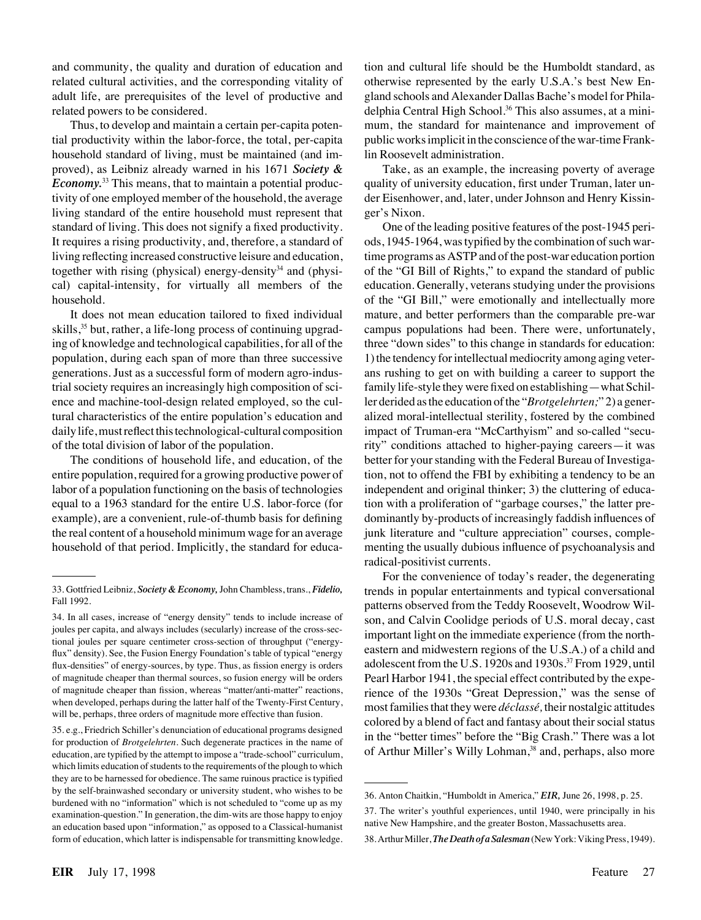and community, the quality and duration of education and related cultural activities, and the corresponding vitality of adult life, are prerequisites of the level of productive and related powers to be considered.

Thus, to develop and maintain a certain per-capita potential productivity within the labor-force, the total, per-capita household standard of living, must be maintained (and improved), as Leibniz already warned in his 1671 *Society & Economy*.<sup>33</sup> This means, that to maintain a potential productivity of one employed member of the household, the average living standard of the entire household must represent that standard of living. This does not signify a fixed productivity. It requires a rising productivity, and, therefore, a standard of living reflecting increased constructive leisure and education, together with rising (physical) energy-density<sup>34</sup> and (physical) capital-intensity, for virtually all members of the household.

It does not mean education tailored to fixed individual skills,<sup>35</sup> but, rather, a life-long process of continuing upgrading of knowledge and technological capabilities, for all of the population, during each span of more than three successive generations. Just as a successful form of modern agro-industrial society requires an increasingly high composition of science and machine-tool-design related employed, so the cultural characteristics of the entire population's education and daily life, must reflect this technological-cultural composition of the total division of labor of the population.

The conditions of household life, and education, of the entire population, required for a growing productive power of labor of a population functioning on the basis of technologies equal to a 1963 standard for the entire U.S. labor-force (for example), are a convenient, rule-of-thumb basis for defining the real content of a household minimum wage for an average household of that period. Implicitly, the standard for educa-

35. e.g., Friedrich Schiller's denunciation of educational programs designed for production of *Brotgelehrten.* Such degenerate practices in the name of education, are typified by the attempt to impose a "trade-school" curriculum, which limits education of students to the requirements of the plough to which they are to be harnessed for obedience. The same ruinous practice is typified by the self-brainwashed secondary or university student, who wishes to be burdened with no "information" which is not scheduled to "come up as my examination-question." In generation, the dim-wits are those happy to enjoy an education based upon "information," as opposed to a Classical-humanist form of education, which latter is indispensable for transmitting knowledge. tion and cultural life should be the Humboldt standard, as otherwise represented by the early U.S.A.'s best New England schools and Alexander Dallas Bache's model for Philadelphia Central High School.<sup>36</sup> This also assumes, at a minimum, the standard for maintenance and improvement of public works implicit in the conscience of the war-time Franklin Roosevelt administration.

Take, as an example, the increasing poverty of average quality of university education, first under Truman, later under Eisenhower, and, later, under Johnson and Henry Kissinger's Nixon.

One of the leading positive features of the post-1945 periods, 1945-1964, was typified by the combination of such wartime programs as ASTP and of the post-war education portion of the "GI Bill of Rights," to expand the standard of public education. Generally, veterans studying under the provisions of the "GI Bill," were emotionally and intellectually more mature, and better performers than the comparable pre-war campus populations had been. There were, unfortunately, three "down sides" to this change in standards for education: 1) the tendency for intellectual mediocrity among aging veterans rushing to get on with building a career to support the family life-style they werefixed on establishing—what Schiller derided as the education of the "*Brotgelehrten;*" 2) a generalized moral-intellectual sterility, fostered by the combined impact of Truman-era "McCarthyism" and so-called "security" conditions attached to higher-paying careers—it was better for your standing with the Federal Bureau of Investigation, not to offend the FBI by exhibiting a tendency to be an independent and original thinker; 3) the cluttering of education with a proliferation of "garbage courses," the latter predominantly by-products of increasingly faddish influences of junk literature and "culture appreciation" courses, complementing the usually dubious influence of psychoanalysis and radical-positivist currents.

For the convenience of today's reader, the degenerating trends in popular entertainments and typical conversational patterns observed from the Teddy Roosevelt, Woodrow Wilson, and Calvin Coolidge periods of U.S. moral decay, cast important light on the immediate experience (from the northeastern and midwestern regions of the U.S.A.) of a child and adolescent from the U.S. 1920s and 1930s.37 From 1929, until Pearl Harbor 1941, the special effect contributed by the experience of the 1930s "Great Depression," was the sense of most families that they were *de´classe´,* their nostalgic attitudes colored by a blend of fact and fantasy about their social status in the "better times" before the "Big Crash." There was a lot of Arthur Miller's Willy Lohman,<sup>38</sup> and, perhaps, also more

<sup>33.</sup> Gottfried Leibniz, *Society & Economy,*John Chambless, trans., *Fidelio,* Fall 1992.

<sup>34.</sup> In all cases, increase of "energy density" tends to include increase of joules per capita, and always includes (secularly) increase of the cross-sectional joules per square centimeter cross-section of throughput ("energyflux" density). See, the Fusion Energy Foundation's table of typical "energy flux-densities" of energy-sources, by type. Thus, as fission energy is orders of magnitude cheaper than thermal sources, so fusion energy will be orders of magnitude cheaper than fission, whereas "matter/anti-matter" reactions, when developed, perhaps during the latter half of the Twenty-First Century, will be, perhaps, three orders of magnitude more effective than fusion.

<sup>36.</sup> Anton Chaitkin, "Humboldt in America," *EIR,* June 26, 1998, p. 25.

<sup>37.</sup> The writer's youthful experiences, until 1940, were principally in his native New Hampshire, and the greater Boston, Massachusetts area.

<sup>38.</sup> Arthur Miller,*The Death of a Salesman*(New York: Viking Press, 1949).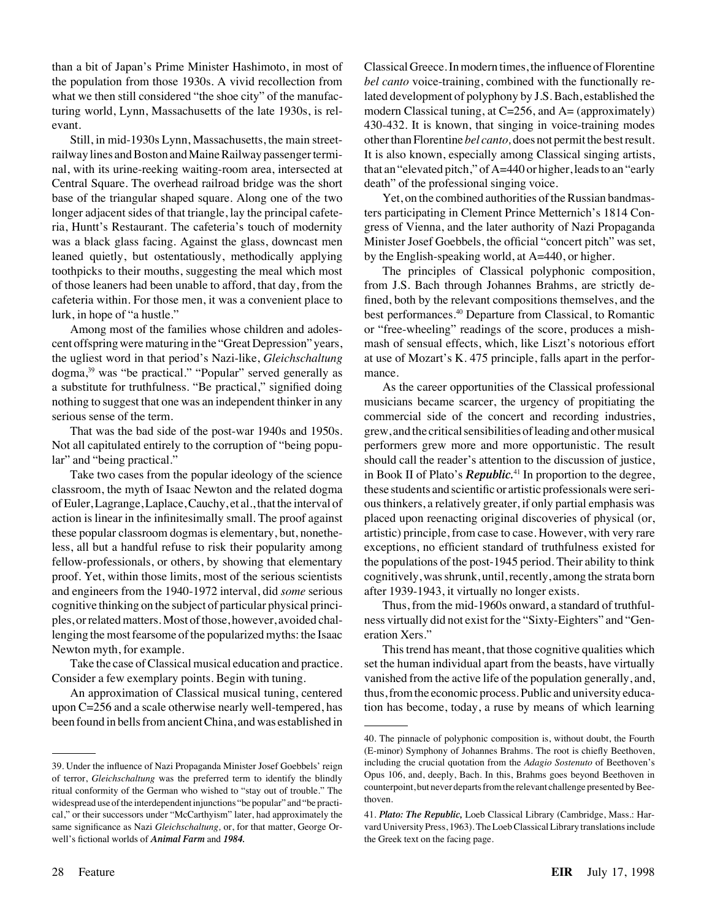than a bit of Japan's Prime Minister Hashimoto, in most of the population from those 1930s. A vivid recollection from what we then still considered "the shoe city" of the manufacturing world, Lynn, Massachusetts of the late 1930s, is relevant.

Still, in mid-1930s Lynn, Massachusetts, the main streetrailway lines and Boston and Maine Railway passenger terminal, with its urine-reeking waiting-room area, intersected at Central Square. The overhead railroad bridge was the short base of the triangular shaped square. Along one of the two longer adjacent sides of that triangle, lay the principal cafeteria, Huntt's Restaurant. The cafeteria's touch of modernity was a black glass facing. Against the glass, downcast men leaned quietly, but ostentatiously, methodically applying toothpicks to their mouths, suggesting the meal which most of those leaners had been unable to afford, that day, from the cafeteria within. For those men, it was a convenient place to lurk, in hope of "a hustle."

Among most of the families whose children and adolescent offspring were maturing in the "Great Depression" years, the ugliest word in that period's Nazi-like, *Gleichschaltung* dogma,39 was "be practical." "Popular" served generally as a substitute for truthfulness. "Be practical," signified doing nothing to suggest that one was an independent thinker in any serious sense of the term.

That was the bad side of the post-war 1940s and 1950s. Not all capitulated entirely to the corruption of "being popular" and "being practical."

Take two cases from the popular ideology of the science classroom, the myth of Isaac Newton and the related dogma of Euler, Lagrange, Laplace, Cauchy, et al., that the interval of action is linear in the infinitesimally small. The proof against these popular classroom dogmas is elementary, but, nonetheless, all but a handful refuse to risk their popularity among fellow-professionals, or others, by showing that elementary proof. Yet, within those limits, most of the serious scientists and engineers from the 1940-1972 interval, did *some* serious cognitive thinking on the subject of particular physical principles, or related matters. Most of those, however, avoided challenging the most fearsome of the popularized myths: the Isaac Newton myth, for example.

Take the case of Classical musical education and practice. Consider a few exemplary points. Begin with tuning.

An approximation of Classical musical tuning, centered upon C=256 and a scale otherwise nearly well-tempered, has been found in bells from ancient China, and was established in Classical Greece. In modern times, the influence of Florentine *bel canto* voice-training, combined with the functionally related development of polyphony by J.S. Bach, established the modern Classical tuning, at  $C=256$ , and  $A=(\text{approximately})$ 430-432. It is known, that singing in voice-training modes other than Florentine *bel canto,* does not permit the best result. It is also known, especially among Classical singing artists, that an "elevated pitch," of A=440 or higher, leads to an "early death" of the professional singing voice.

Yet, on the combined authorities of the Russian bandmasters participating in Clement Prince Metternich's 1814 Congress of Vienna, and the later authority of Nazi Propaganda Minister Josef Goebbels, the official "concert pitch" was set, by the English-speaking world, at A=440, or higher.

The principles of Classical polyphonic composition, from J.S. Bach through Johannes Brahms, are strictly defined, both by the relevant compositions themselves, and the best performances.40 Departure from Classical, to Romantic or "free-wheeling" readings of the score, produces a mishmash of sensual effects, which, like Liszt's notorious effort at use of Mozart's K. 475 principle, falls apart in the performance.

As the career opportunities of the Classical professional musicians became scarcer, the urgency of propitiating the commercial side of the concert and recording industries, grew, and the critical sensibilities of leading and other musical performers grew more and more opportunistic. The result should call the reader's attention to the discussion of justice, in Book II of Plato's *Republic.*<sup>41</sup> In proportion to the degree, these students and scientific or artistic professionals were serious thinkers, a relatively greater, if only partial emphasis was placed upon reenacting original discoveries of physical (or, artistic) principle, from case to case. However, with very rare exceptions, no efficient standard of truthfulness existed for the populations of the post-1945 period. Their ability to think cognitively, was shrunk, until, recently, among the strata born after 1939-1943, it virtually no longer exists.

Thus, from the mid-1960s onward, a standard of truthfulness virtually did not exist for the "Sixty-Eighters" and "Generation Xers."

This trend has meant, that those cognitive qualities which set the human individual apart from the beasts, have virtually vanished from the active life of the population generally, and, thus, from the economic process. Public and university education has become, today, a ruse by means of which learning

<sup>39.</sup> Under the influence of Nazi Propaganda Minister Josef Goebbels' reign of terror, *Gleichschaltung* was the preferred term to identify the blindly ritual conformity of the German who wished to "stay out of trouble." The widespread use of the interdependent injunctions "be popular" and "be practical," or their successors under "McCarthyism" later, had approximately the same significance as Nazi *Gleichschaltung,* or, for that matter, George Orwell's fictional worlds of *Animal Farm* and *1984.*

<sup>40.</sup> The pinnacle of polyphonic composition is, without doubt, the Fourth (E-minor) Symphony of Johannes Brahms. The root is chiefly Beethoven, including the crucial quotation from the *Adagio Sostenuto* of Beethoven's Opus 106, and, deeply, Bach. In this, Brahms goes beyond Beethoven in counterpoint, but never departs from the relevant challenge presented by Beethoven.

<sup>41.</sup> *Plato: The Republic,* Loeb Classical Library (Cambridge, Mass.: Harvard University Press, 1963). The Loeb Classical Library translations include the Greek text on the facing page.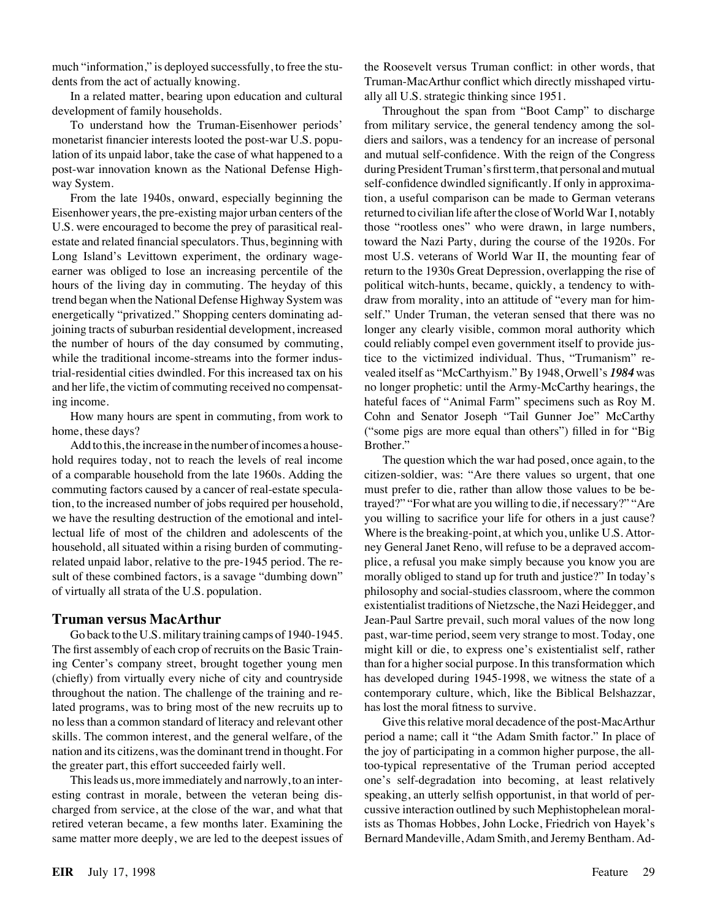much "information," is deployed successfully, to free the students from the act of actually knowing.

In a related matter, bearing upon education and cultural development of family households.

To understand how the Truman-Eisenhower periods' monetarist financier interests looted the post-war U.S. population of its unpaid labor, take the case of what happened to a post-war innovation known as the National Defense Highway System.

From the late 1940s, onward, especially beginning the Eisenhower years, the pre-existing major urban centers of the U.S. were encouraged to become the prey of parasitical realestate and related financial speculators. Thus, beginning with Long Island's Levittown experiment, the ordinary wageearner was obliged to lose an increasing percentile of the hours of the living day in commuting. The heyday of this trend began when the National Defense Highway System was energetically "privatized." Shopping centers dominating adjoining tracts of suburban residential development, increased the number of hours of the day consumed by commuting, while the traditional income-streams into the former industrial-residential cities dwindled. For this increased tax on his and her life, the victim of commuting received no compensating income.

How many hours are spent in commuting, from work to home, these days?

Add to this, the increase in the number of incomes a household requires today, not to reach the levels of real income of a comparable household from the late 1960s. Adding the commuting factors caused by a cancer of real-estate speculation, to the increased number of jobs required per household, we have the resulting destruction of the emotional and intellectual life of most of the children and adolescents of the household, all situated within a rising burden of commutingrelated unpaid labor, relative to the pre-1945 period. The result of these combined factors, is a savage "dumbing down" of virtually all strata of the U.S. population.

#### **Truman versus MacArthur**

Go back to the U.S. military training camps of 1940-1945. The first assembly of each crop of recruits on the Basic Training Center's company street, brought together young men (chiefly) from virtually every niche of city and countryside throughout the nation. The challenge of the training and related programs, was to bring most of the new recruits up to no less than a common standard of literacy and relevant other skills. The common interest, and the general welfare, of the nation and its citizens, was the dominant trend in thought. For the greater part, this effort succeeded fairly well.

This leads us, more immediately and narrowly, to an interesting contrast in morale, between the veteran being discharged from service, at the close of the war, and what that retired veteran became, a few months later. Examining the same matter more deeply, we are led to the deepest issues of the Roosevelt versus Truman conflict: in other words, that Truman-MacArthur conflict which directly misshaped virtually all U.S. strategic thinking since 1951.

Throughout the span from "Boot Camp" to discharge from military service, the general tendency among the soldiers and sailors, was a tendency for an increase of personal and mutual self-confidence. With the reign of the Congress during President Truman's first term, that personal and mutual self-confidence dwindled significantly. If only in approximation, a useful comparison can be made to German veterans returned to civilian life after the close of World War I, notably those "rootless ones" who were drawn, in large numbers, toward the Nazi Party, during the course of the 1920s. For most U.S. veterans of World War II, the mounting fear of return to the 1930s Great Depression, overlapping the rise of political witch-hunts, became, quickly, a tendency to withdraw from morality, into an attitude of "every man for himself." Under Truman, the veteran sensed that there was no longer any clearly visible, common moral authority which could reliably compel even government itself to provide justice to the victimized individual. Thus, "Trumanism" revealed itself as "McCarthyism." By 1948, Orwell's *1984* was no longer prophetic: until the Army-McCarthy hearings, the hateful faces of "Animal Farm" specimens such as Roy M. Cohn and Senator Joseph "Tail Gunner Joe" McCarthy ("some pigs are more equal than others") filled in for "Big Brother."

The question which the war had posed, once again, to the citizen-soldier, was: "Are there values so urgent, that one must prefer to die, rather than allow those values to be betrayed?" "For what are you willing to die, if necessary?" "Are you willing to sacrifice your life for others in a just cause? Where is the breaking-point, at which you, unlike U.S. Attorney General Janet Reno, will refuse to be a depraved accomplice, a refusal you make simply because you know you are morally obliged to stand up for truth and justice?" In today's philosophy and social-studies classroom, where the common existentialist traditions of Nietzsche, the Nazi Heidegger, and Jean-Paul Sartre prevail, such moral values of the now long past, war-time period, seem very strange to most. Today, one might kill or die, to express one's existentialist self, rather than for a higher social purpose. In this transformation which has developed during 1945-1998, we witness the state of a contemporary culture, which, like the Biblical Belshazzar, has lost the moral fitness to survive.

Give this relative moral decadence of the post-MacArthur period a name; call it "the Adam Smith factor." In place of the joy of participating in a common higher purpose, the alltoo-typical representative of the Truman period accepted one's self-degradation into becoming, at least relatively speaking, an utterly selfish opportunist, in that world of percussive interaction outlined by such Mephistophelean moralists as Thomas Hobbes, John Locke, Friedrich von Hayek's Bernard Mandeville, Adam Smith, and Jeremy Bentham. Ad-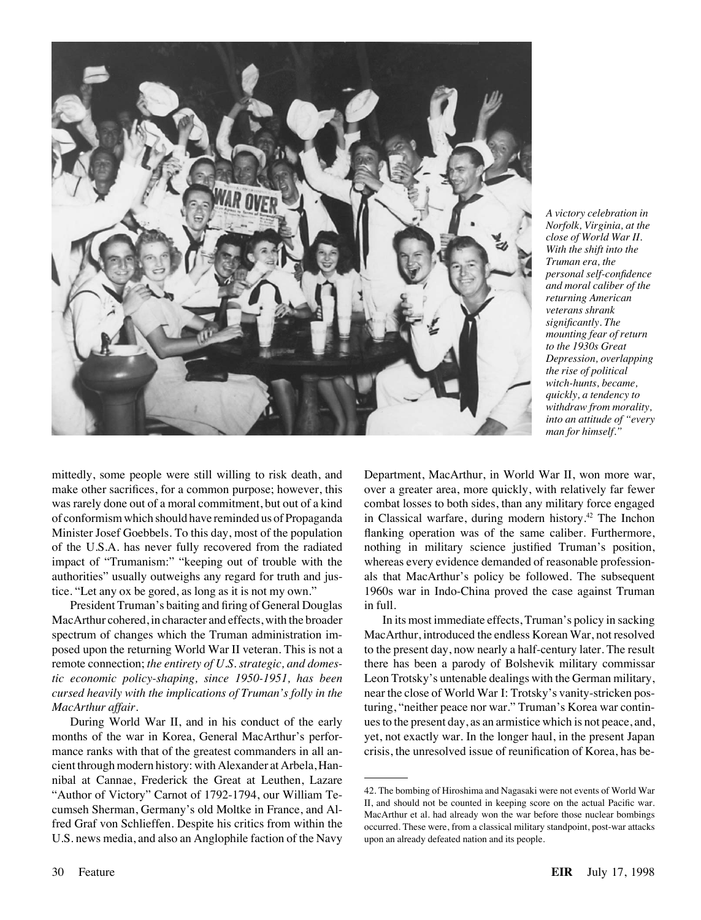

*A victory celebration in Norfolk, Virginia, at the close of World War II. With the shift into the Truman era, the personal self-confidence and moral caliber of the returning American veterans shrank significantly. The mounting fear of return to the 1930s Great Depression, overlapping the rise of political witch-hunts, became, quickly, a tendency to withdraw from morality, into an attitude of "every man for himself."*

mittedly, some people were still willing to risk death, and make other sacrifices, for a common purpose; however, this was rarely done out of a moral commitment, but out of a kind of conformism which should have reminded us of Propaganda Minister Josef Goebbels. To this day, most of the population of the U.S.A. has never fully recovered from the radiated impact of "Trumanism:" "keeping out of trouble with the authorities" usually outweighs any regard for truth and justice. "Let any ox be gored, as long as it is not my own."

President Truman's baiting and firing of General Douglas MacArthur cohered, in character and effects, with the broader spectrum of changes which the Truman administration imposed upon the returning World War II veteran. This is not a remote connection; *the entirety of U.S. strategic, and domestic economic policy-shaping, since 1950-1951, has been cursed heavily with the implications of Truman's folly in the MacArthur affair.*

During World War II, and in his conduct of the early months of the war in Korea, General MacArthur's performance ranks with that of the greatest commanders in all ancient through modern history: with Alexander at Arbela, Hannibal at Cannae, Frederick the Great at Leuthen, Lazare "Author of Victory" Carnot of 1792-1794, our William Tecumseh Sherman, Germany's old Moltke in France, and Alfred Graf von Schlieffen. Despite his critics from within the U.S. news media, and also an Anglophile faction of the Navy Department, MacArthur, in World War II, won more war, over a greater area, more quickly, with relatively far fewer combat losses to both sides, than any military force engaged in Classical warfare, during modern history.<sup>42</sup> The Inchon flanking operation was of the same caliber. Furthermore, nothing in military science justified Truman's position, whereas every evidence demanded of reasonable professionals that MacArthur's policy be followed. The subsequent 1960s war in Indo-China proved the case against Truman in full.

In its most immediate effects, Truman's policy in sacking MacArthur, introduced the endless Korean War, not resolved to the present day, now nearly a half-century later. The result there has been a parody of Bolshevik military commissar Leon Trotsky's untenable dealings with the German military, near the close of World War I: Trotsky's vanity-stricken posturing, "neither peace nor war." Truman's Korea war continues to the present day, as an armistice which is not peace, and, yet, not exactly war. In the longer haul, in the present Japan crisis, the unresolved issue of reunification of Korea, has be-

<sup>42.</sup> The bombing of Hiroshima and Nagasaki were not events of World War II, and should not be counted in keeping score on the actual Pacific war. MacArthur et al. had already won the war before those nuclear bombings occurred. These were, from a classical military standpoint, post-war attacks upon an already defeated nation and its people.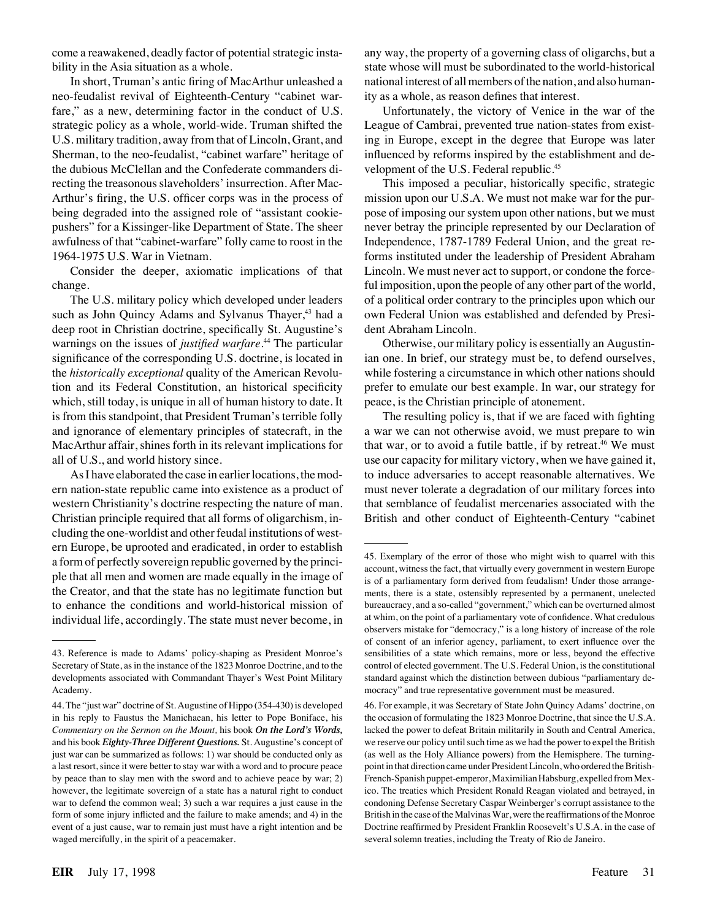come a reawakened, deadly factor of potential strategic instability in the Asia situation as a whole.

In short, Truman's antic firing of MacArthur unleashed a neo-feudalist revival of Eighteenth-Century "cabinet warfare," as a new, determining factor in the conduct of U.S. strategic policy as a whole, world-wide. Truman shifted the U.S. military tradition, away from that of Lincoln, Grant, and Sherman, to the neo-feudalist, "cabinet warfare" heritage of the dubious McClellan and the Confederate commanders directing the treasonous slaveholders' insurrection. After Mac-Arthur's firing, the U.S. officer corps was in the process of being degraded into the assigned role of "assistant cookiepushers" for a Kissinger-like Department of State. The sheer awfulness of that "cabinet-warfare" folly came to roost in the 1964-1975 U.S. War in Vietnam.

Consider the deeper, axiomatic implications of that change.

The U.S. military policy which developed under leaders such as John Quincy Adams and Sylvanus Thayer,<sup>43</sup> had a deep root in Christian doctrine, specifically St. Augustine's warnings on the issues of *justified warfare.*<sup>44</sup> The particular significance of the corresponding U.S. doctrine, is located in the *historically exceptional* quality of the American Revolution and its Federal Constitution, an historical specificity which, still today, is unique in all of human history to date. It is from this standpoint, that President Truman's terrible folly and ignorance of elementary principles of statecraft, in the MacArthur affair, shines forth in its relevant implications for all of U.S., and world history since.

As I have elaborated the case in earlier locations, the modern nation-state republic came into existence as a product of western Christianity's doctrine respecting the nature of man. Christian principle required that all forms of oligarchism, including the one-worldist and other feudal institutions of western Europe, be uprooted and eradicated, in order to establish a form of perfectly sovereign republic governed by the principle that all men and women are made equally in the image of the Creator, and that the state has no legitimate function but to enhance the conditions and world-historical mission of individual life, accordingly. The state must never become, in any way, the property of a governing class of oligarchs, but a state whose will must be subordinated to the world-historical national interest of all members of the nation, and also humanity as a whole, as reason defines that interest.

Unfortunately, the victory of Venice in the war of the League of Cambrai, prevented true nation-states from existing in Europe, except in the degree that Europe was later influenced by reforms inspired by the establishment and development of the U.S. Federal republic.<sup>45</sup>

This imposed a peculiar, historically specific, strategic mission upon our U.S.A. We must not make war for the purpose of imposing our system upon other nations, but we must never betray the principle represented by our Declaration of Independence, 1787-1789 Federal Union, and the great reforms instituted under the leadership of President Abraham Lincoln. We must never act to support, or condone the forceful imposition, upon the people of any other part of the world, of a political order contrary to the principles upon which our own Federal Union was established and defended by President Abraham Lincoln.

Otherwise, our military policy is essentially an Augustinian one. In brief, our strategy must be, to defend ourselves, while fostering a circumstance in which other nations should prefer to emulate our best example. In war, our strategy for peace, is the Christian principle of atonement.

The resulting policy is, that if we are faced with fighting a war we can not otherwise avoid, we must prepare to win that war, or to avoid a futile battle, if by retreat.<sup>46</sup> We must use our capacity for military victory, when we have gained it, to induce adversaries to accept reasonable alternatives. We must never tolerate a degradation of our military forces into that semblance of feudalist mercenaries associated with the British and other conduct of Eighteenth-Century "cabinet

<sup>43.</sup> Reference is made to Adams' policy-shaping as President Monroe's Secretary of State, as in the instance of the 1823 Monroe Doctrine, and to the developments associated with Commandant Thayer's West Point Military Academy.

<sup>44.</sup> The "just war" doctrine of St. Augustine of Hippo (354-430) is developed in his reply to Faustus the Manichaean, his letter to Pope Boniface, his *Commentary on the Sermon on the Mount,* his book *On the Lord's Words,* and his book *Eighty-Three Different Questions.* St. Augustine's concept of just war can be summarized as follows: 1) war should be conducted only as a last resort, since it were better to stay war with a word and to procure peace by peace than to slay men with the sword and to achieve peace by war; 2) however, the legitimate sovereign of a state has a natural right to conduct war to defend the common weal; 3) such a war requires a just cause in the form of some injury inflicted and the failure to make amends; and 4) in the event of a just cause, war to remain just must have a right intention and be waged mercifully, in the spirit of a peacemaker.

<sup>45.</sup> Exemplary of the error of those who might wish to quarrel with this account, witness the fact, that virtually every government in western Europe is of a parliamentary form derived from feudalism! Under those arrangements, there is a state, ostensibly represented by a permanent, unelected bureaucracy, and a so-called "government," which can be overturned almost at whim, on the point of a parliamentary vote of confidence. What credulous observers mistake for "democracy," is a long history of increase of the role of consent of an inferior agency, parliament, to exert influence over the sensibilities of a state which remains, more or less, beyond the effective control of elected government. The U.S. Federal Union, is the constitutional standard against which the distinction between dubious "parliamentary democracy" and true representative government must be measured.

<sup>46.</sup> For example, it was Secretary of State John Quincy Adams' doctrine, on the occasion of formulating the 1823 Monroe Doctrine, that since the U.S.A. lacked the power to defeat Britain militarily in South and Central America, we reserve our policy until such time as we had the power to expel the British (as well as the Holy Alliance powers) from the Hemisphere. The turningpoint in that direction came under President Lincoln, who ordered the British-French-Spanish puppet-emperor, Maximilian Habsburg, expelled from Mexico. The treaties which President Ronald Reagan violated and betrayed, in condoning Defense Secretary Caspar Weinberger's corrupt assistance to the British in the case of the Malvinas War, were the reaffirmations of the Monroe Doctrine reaffirmed by President Franklin Roosevelt's U.S.A. in the case of several solemn treaties, including the Treaty of Rio de Janeiro.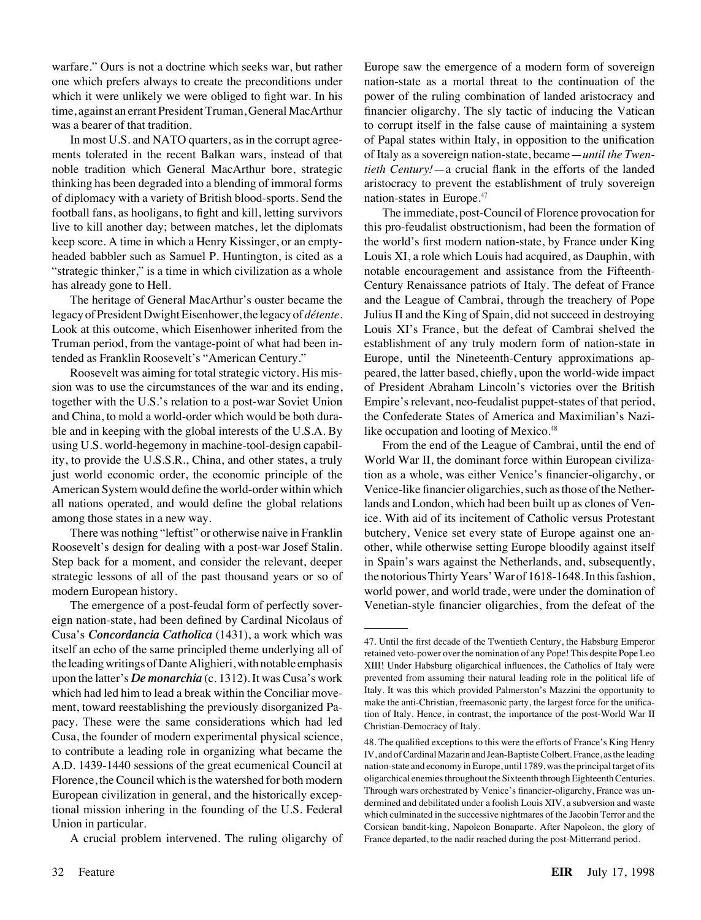warfare." Ours is not a doctrine which seeks war, but rather one which prefers always to create the preconditions under which it were unlikely we were obliged to fight war. In his time, against an errant President Truman, General MacArthur was a bearer of that tradition.

In most U.S. and NATO quarters, as in the corrupt agreements tolerated in the recent Balkan wars, instead of that noble tradition which General MacArthur bore, strategic thinking has been degraded into a blending of immoral forms of diplomacy with a variety of British blood-sports. Send the football fans, as hooligans, to fight and kill, letting survivors live to kill another day; between matches, let the diplomats keep score. A time in which a Henry Kissinger, or an emptyheaded babbler such as Samuel P. Huntington, is cited as a "strategic thinker," is a time in which civilization as a whole has already gone to Hell.

The heritage of General MacArthur's ouster became the legacy of President Dwight Eisenhower, the legacy of *détente*. Look at this outcome, which Eisenhower inherited from the Truman period, from the vantage-point of what had been intended as Franklin Roosevelt's "American Century."

Roosevelt was aiming for total strategic victory. His mission was to use the circumstances of the war and its ending, together with the U.S.'s relation to a post-war Soviet Union and China, to mold a world-order which would be both durable and in keeping with the global interests of the U.S.A. By using U.S. world-hegemony in machine-tool-design capability, to provide the U.S.S.R., China, and other states, a truly just world economic order, the economic principle of the American System would define the world-order within which all nations operated, and would define the global relations among those states in a new way.

There was nothing "leftist" or otherwise naive in Franklin Roosevelt's design for dealing with a post-war Josef Stalin. Step back for a moment, and consider the relevant, deeper strategic lessons of all of the past thousand years or so of modern European history.

The emergence of a post-feudal form of perfectly sovereign nation-state, had been defined by Cardinal Nicolaus of Cusa's *Concordancia Catholica* (1431), a work which was itself an echo of the same principled theme underlying all of the leading writings of Dante Alighieri, with notable emphasis upon the latter's *De monarchia* (c. 1312). It was Cusa's work which had led him to lead a break within the Conciliar movement, toward reestablishing the previously disorganized Papacy. These were the same considerations which had led Cusa, the founder of modern experimental physical science, to contribute a leading role in organizing what became the A.D. 1439-1440 sessions of the great ecumenical Council at Florence, the Council which is the watershed for both modern European civilization in general, and the historically exceptional mission inhering in the founding of the U.S. Federal Union in particular.

A crucial problem intervened. The ruling oligarchy of

Europe saw the emergence of a modern form of sovereign nation-state as a mortal threat to the continuation of the power of the ruling combination of landed aristocracy and financier oligarchy. The sly tactic of inducing the Vatican to corrupt itself in the false cause of maintaining a system of Papal states within Italy, in opposition to the unification of Italy as a sovereign nation-state, became—*until the Twentieth Century!*—a crucial flank in the efforts of the landed aristocracy to prevent the establishment of truly sovereign nation-states in Europe.<sup>47</sup>

The immediate, post-Council of Florence provocation for this pro-feudalist obstructionism, had been the formation of the world's first modern nation-state, by France under King Louis XI, a role which Louis had acquired, as Dauphin, with notable encouragement and assistance from the Fifteenth-Century Renaissance patriots of Italy. The defeat of France and the League of Cambrai, through the treachery of Pope Julius II and the King of Spain, did not succeed in destroying Louis XI's France, but the defeat of Cambrai shelved the establishment of any truly modern form of nation-state in Europe, until the Nineteenth-Century approximations appeared, the latter based, chiefly, upon the world-wide impact of President Abraham Lincoln's victories over the British Empire's relevant, neo-feudalist puppet-states of that period, the Confederate States of America and Maximilian's Nazilike occupation and looting of Mexico.<sup>48</sup>

From the end of the League of Cambrai, until the end of World War II, the dominant force within European civilization as a whole, was either Venice's financier-oligarchy, or Venice-like financier oligarchies, such as those of the Netherlands and London, which had been built up as clones of Venice. With aid of its incitement of Catholic versus Protestant butchery, Venice set every state of Europe against one another, while otherwise setting Europe bloodily against itself in Spain's wars against the Netherlands, and, subsequently, the notorious Thirty Years' War of 1618-1648. In this fashion, world power, and world trade, were under the domination of Venetian-style financier oligarchies, from the defeat of the

<sup>47.</sup> Until the first decade of the Twentieth Century, the Habsburg Emperor retained veto-power over the nomination of any Pope! This despite Pope Leo XIII! Under Habsburg oligarchical influences, the Catholics of Italy were prevented from assuming their natural leading role in the political life of Italy. It was this which provided Palmerston's Mazzini the opportunity to make the anti-Christian, freemasonic party, the largest force for the unification of Italy. Hence, in contrast, the importance of the post-World War II Christian-Democracy of Italy.

<sup>48.</sup> The qualified exceptions to this were the efforts of France's King Henry IV, and of Cardinal Mazarin and Jean-Baptiste Colbert. France, as the leading nation-state and economy in Europe, until 1789, was the principal target of its oligarchical enemies throughout the Sixteenth through Eighteenth Centuries. Through wars orchestrated by Venice's financier-oligarchy, France was undermined and debilitated under a foolish Louis XIV, a subversion and waste which culminated in the successive nightmares of the Jacobin Terror and the Corsican bandit-king, Napoleon Bonaparte. After Napoleon, the glory of France departed, to the nadir reached during the post-Mitterrand period.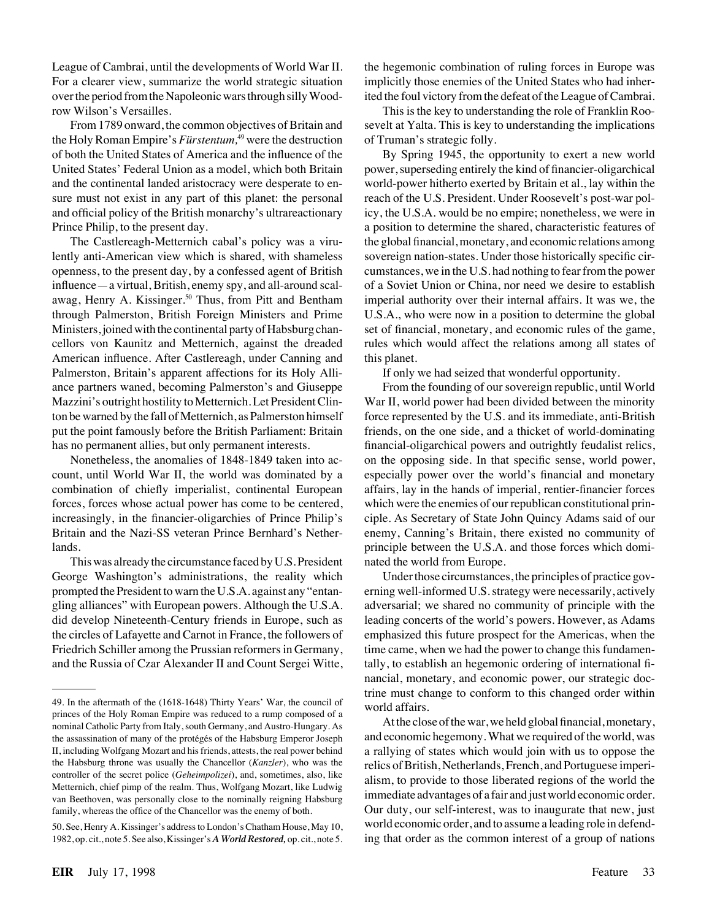League of Cambrai, until the developments of World War II. For a clearer view, summarize the world strategic situation over the period from the Napoleonic wars through silly Woodrow Wilson's Versailles.

From 1789 onward, the common objectives of Britain and the Holy Roman Empire's *Furstentum*,<sup>49</sup> were the destruction of both the United States of America and the influence of the United States' Federal Union as a model, which both Britain and the continental landed aristocracy were desperate to ensure must not exist in any part of this planet: the personal and official policy of the British monarchy's ultrareactionary Prince Philip, to the present day.

The Castlereagh-Metternich cabal's policy was a virulently anti-American view which is shared, with shameless openness, to the present day, by a confessed agent of British influence—a virtual, British, enemy spy, and all-around scalawag, Henry A. Kissinger.<sup>50</sup> Thus, from Pitt and Bentham through Palmerston, British Foreign Ministers and Prime Ministers, joined with the continental party of Habsburg chancellors von Kaunitz and Metternich, against the dreaded American influence. After Castlereagh, under Canning and Palmerston, Britain's apparent affections for its Holy Alliance partners waned, becoming Palmerston's and Giuseppe Mazzini's outright hostility to Metternich. Let President Clinton be warned by the fall of Metternich, as Palmerston himself put the point famously before the British Parliament: Britain has no permanent allies, but only permanent interests.

Nonetheless, the anomalies of 1848-1849 taken into account, until World War II, the world was dominated by a combination of chiefly imperialist, continental European forces, forces whose actual power has come to be centered, increasingly, in the financier-oligarchies of Prince Philip's Britain and the Nazi-SS veteran Prince Bernhard's Netherlands.

This was already the circumstance faced by U.S. President George Washington's administrations, the reality which prompted the President to warn the U.S.A. against any "entangling alliances" with European powers. Although the U.S.A. did develop Nineteenth-Century friends in Europe, such as the circles of Lafayette and Carnot in France, the followers of Friedrich Schiller among the Prussian reformers in Germany, and the Russia of Czar Alexander II and Count Sergei Witte, the hegemonic combination of ruling forces in Europe was implicitly those enemies of the United States who had inherited the foul victory from the defeat of the League of Cambrai.

This is the key to understanding the role of Franklin Roosevelt at Yalta. This is key to understanding the implications of Truman's strategic folly.

By Spring 1945, the opportunity to exert a new world power, superseding entirely the kind of financier-oligarchical world-power hitherto exerted by Britain et al., lay within the reach of the U.S. President. Under Roosevelt's post-war policy, the U.S.A. would be no empire; nonetheless, we were in a position to determine the shared, characteristic features of the global financial, monetary, and economic relations among sovereign nation-states. Under those historically specific circumstances, we in the U.S. had nothing to fear from the power of a Soviet Union or China, nor need we desire to establish imperial authority over their internal affairs. It was we, the U.S.A., who were now in a position to determine the global set of financial, monetary, and economic rules of the game, rules which would affect the relations among all states of this planet.

If only we had seized that wonderful opportunity.

From the founding of our sovereign republic, until World War II, world power had been divided between the minority force represented by the U.S. and its immediate, anti-British friends, on the one side, and a thicket of world-dominating financial-oligarchical powers and outrightly feudalist relics, on the opposing side. In that specific sense, world power, especially power over the world's financial and monetary affairs, lay in the hands of imperial, rentier-financier forces which were the enemies of our republican constitutional principle. As Secretary of State John Quincy Adams said of our enemy, Canning's Britain, there existed no community of principle between the U.S.A. and those forces which dominated the world from Europe.

Under those circumstances, the principles of practice governing well-informed U.S. strategy were necessarily, actively adversarial; we shared no community of principle with the leading concerts of the world's powers. However, as Adams emphasized this future prospect for the Americas, when the time came, when we had the power to change this fundamentally, to establish an hegemonic ordering of international financial, monetary, and economic power, our strategic doctrine must change to conform to this changed order within world affairs.

At the close of the war, we held global financial, monetary, and economic hegemony. What we required of the world, was a rallying of states which would join with us to oppose the relics of British, Netherlands, French, and Portuguese imperialism, to provide to those liberated regions of the world the immediate advantages of a fair and just world economic order. Our duty, our self-interest, was to inaugurate that new, just world economic order, and to assume a leading role in defending that order as the common interest of a group of nations

<sup>49.</sup> In the aftermath of the (1618-1648) Thirty Years' War, the council of princes of the Holy Roman Empire was reduced to a rump composed of a nominal Catholic Party from Italy, south Germany, and Austro-Hungary. As the assassination of many of the protégés of the Habsburg Emperor Joseph II, including Wolfgang Mozart and his friends, attests, the real power behind the Habsburg throne was usually the Chancellor (*Kanzler*), who was the controller of the secret police (*Geheimpolizei*), and, sometimes, also, like Metternich, chief pimp of the realm. Thus, Wolfgang Mozart, like Ludwig van Beethoven, was personally close to the nominally reigning Habsburg family, whereas the office of the Chancellor was the enemy of both.

<sup>50.</sup> See, Henry A. Kissinger's address to London's Chatham House, May 10, 1982, op. cit., note 5. See also, Kissinger's *A World Restored,* op. cit., note 5.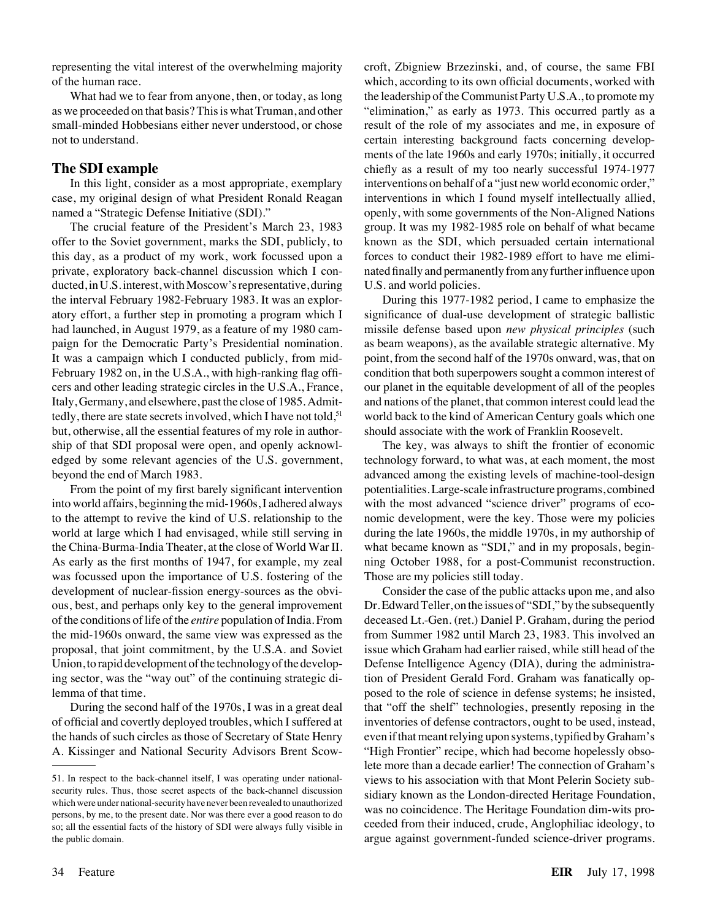representing the vital interest of the overwhelming majority of the human race.

What had we to fear from anyone, then, or today, as long as we proceeded on that basis? This is what Truman, and other small-minded Hobbesians either never understood, or chose not to understand.

#### **The SDI example**

In this light, consider as a most appropriate, exemplary case, my original design of what President Ronald Reagan named a "Strategic Defense Initiative (SDI)."

The crucial feature of the President's March 23, 1983 offer to the Soviet government, marks the SDI, publicly, to this day, as a product of my work, work focussed upon a private, exploratory back-channel discussion which I conducted, in U.S. interest, with Moscow's representative, during the interval February 1982-February 1983. It was an exploratory effort, a further step in promoting a program which I had launched, in August 1979, as a feature of my 1980 campaign for the Democratic Party's Presidential nomination. It was a campaign which I conducted publicly, from mid-February 1982 on, in the U.S.A., with high-ranking flag officers and other leading strategic circles in the U.S.A., France, Italy, Germany, and elsewhere, past the close of 1985. Admittedly, there are state secrets involved, which I have not told,<sup>51</sup> but, otherwise, all the essential features of my role in authorship of that SDI proposal were open, and openly acknowledged by some relevant agencies of the U.S. government, beyond the end of March 1983.

From the point of my first barely significant intervention into world affairs, beginning the mid-1960s, I adhered always to the attempt to revive the kind of U.S. relationship to the world at large which I had envisaged, while still serving in the China-Burma-India Theater, at the close of World War II. As early as the first months of 1947, for example, my zeal was focussed upon the importance of U.S. fostering of the development of nuclear-fission energy-sources as the obvious, best, and perhaps only key to the general improvement of the conditions of life of the *entire* population of India. From the mid-1960s onward, the same view was expressed as the proposal, that joint commitment, by the U.S.A. and Soviet Union, to rapid development of the technology of the developing sector, was the "way out" of the continuing strategic dilemma of that time.

During the second half of the 1970s, I was in a great deal of official and covertly deployed troubles, which I suffered at the hands of such circles as those of Secretary of State Henry A. Kissinger and National Security Advisors Brent Scowcroft, Zbigniew Brzezinski, and, of course, the same FBI which, according to its own official documents, worked with the leadership of the Communist Party U.S.A., to promote my "elimination," as early as 1973. This occurred partly as a result of the role of my associates and me, in exposure of certain interesting background facts concerning developments of the late 1960s and early 1970s; initially, it occurred chiefly as a result of my too nearly successful 1974-1977 interventions on behalf of a "just new world economic order," interventions in which I found myself intellectually allied, openly, with some governments of the Non-Aligned Nations group. It was my 1982-1985 role on behalf of what became known as the SDI, which persuaded certain international forces to conduct their 1982-1989 effort to have me eliminated finally and permanently from any further influence upon U.S. and world policies.

During this 1977-1982 period, I came to emphasize the significance of dual-use development of strategic ballistic missile defense based upon *new physical principles* (such as beam weapons), as the available strategic alternative. My point, from the second half of the 1970s onward, was, that on condition that both superpowers sought a common interest of our planet in the equitable development of all of the peoples and nations of the planet, that common interest could lead the world back to the kind of American Century goals which one should associate with the work of Franklin Roosevelt.

The key, was always to shift the frontier of economic technology forward, to what was, at each moment, the most advanced among the existing levels of machine-tool-design potentialities. Large-scale infrastructure programs, combined with the most advanced "science driver" programs of economic development, were the key. Those were my policies during the late 1960s, the middle 1970s, in my authorship of what became known as "SDI," and in my proposals, beginning October 1988, for a post-Communist reconstruction. Those are my policies still today.

Consider the case of the public attacks upon me, and also Dr. Edward Teller, on the issues of "SDI," by the subsequently deceased Lt.-Gen. (ret.) Daniel P. Graham, during the period from Summer 1982 until March 23, 1983. This involved an issue which Graham had earlier raised, while still head of the Defense Intelligence Agency (DIA), during the administration of President Gerald Ford. Graham was fanatically opposed to the role of science in defense systems; he insisted, that "off the shelf" technologies, presently reposing in the inventories of defense contractors, ought to be used, instead, even if that meant relying upon systems, typified by Graham's "High Frontier" recipe, which had become hopelessly obsolete more than a decade earlier! The connection of Graham's views to his association with that Mont Pelerin Society subsidiary known as the London-directed Heritage Foundation, was no coincidence. The Heritage Foundation dim-wits proceeded from their induced, crude, Anglophiliac ideology, to argue against government-funded science-driver programs.

<sup>51.</sup> In respect to the back-channel itself, I was operating under nationalsecurity rules. Thus, those secret aspects of the back-channel discussion which were under national-security have never been revealed to unauthorized persons, by me, to the present date. Nor was there ever a good reason to do so; all the essential facts of the history of SDI were always fully visible in the public domain.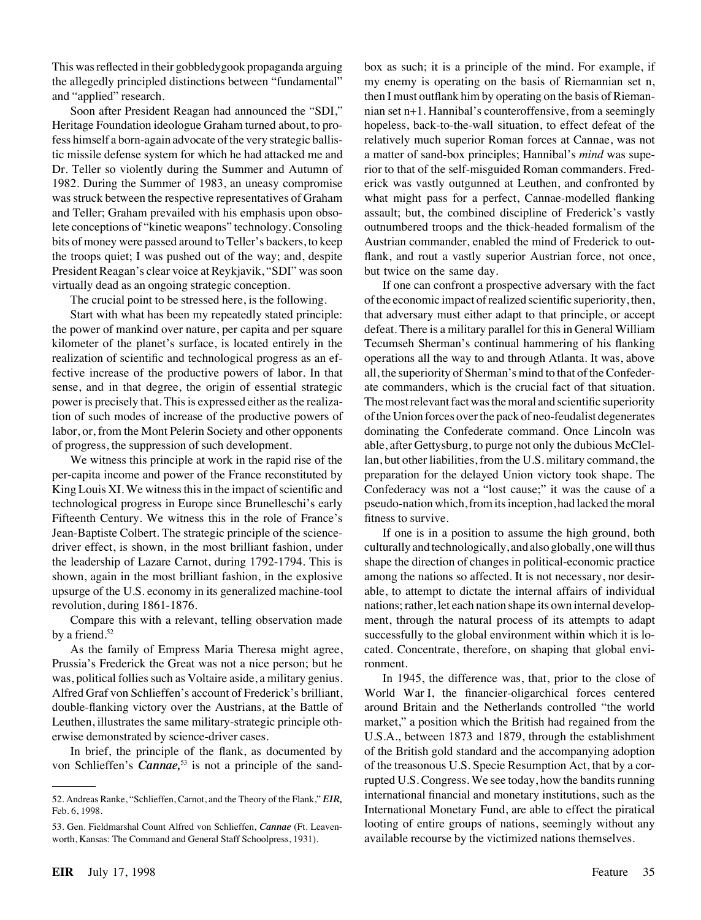This was reflected in their gobbledygook propaganda arguing the allegedly principled distinctions between "fundamental" and "applied" research.

Soon after President Reagan had announced the "SDI," Heritage Foundation ideologue Graham turned about, to profess himself a born-again advocate of the very strategic ballistic missile defense system for which he had attacked me and Dr. Teller so violently during the Summer and Autumn of 1982. During the Summer of 1983, an uneasy compromise was struck between the respective representatives of Graham and Teller; Graham prevailed with his emphasis upon obsolete conceptions of "kinetic weapons" technology. Consoling bits of money were passed around to Teller's backers, to keep the troops quiet; I was pushed out of the way; and, despite President Reagan's clear voice at Reykjavik, "SDI" was soon virtually dead as an ongoing strategic conception.

The crucial point to be stressed here, is the following.

Start with what has been my repeatedly stated principle: the power of mankind over nature, per capita and per square kilometer of the planet's surface, is located entirely in the realization of scientific and technological progress as an effective increase of the productive powers of labor. In that sense, and in that degree, the origin of essential strategic power is precisely that. This is expressed either as the realization of such modes of increase of the productive powers of labor, or, from the Mont Pelerin Society and other opponents of progress, the suppression of such development.

We witness this principle at work in the rapid rise of the per-capita income and power of the France reconstituted by King Louis XI. We witness this in the impact of scientific and technological progress in Europe since Brunelleschi's early Fifteenth Century. We witness this in the role of France's Jean-Baptiste Colbert. The strategic principle of the sciencedriver effect, is shown, in the most brilliant fashion, under the leadership of Lazare Carnot, during 1792-1794. This is shown, again in the most brilliant fashion, in the explosive upsurge of the U.S. economy in its generalized machine-tool revolution, during 1861-1876.

Compare this with a relevant, telling observation made by a friend. $52$ 

As the family of Empress Maria Theresa might agree, Prussia's Frederick the Great was not a nice person; but he was, political follies such as Voltaire aside, a military genius. Alfred Graf von Schlieffen's account of Frederick's brilliant, double-flanking victory over the Austrians, at the Battle of Leuthen, illustrates the same military-strategic principle otherwise demonstrated by science-driver cases.

In brief, the principle of the flank, as documented by von Schlieffen's *Cannae,*<sup>53</sup> is not a principle of the sandbox as such; it is a principle of the mind. For example, if my enemy is operating on the basis of Riemannian set n, then I must outflank him by operating on the basis of Riemannian set n+1. Hannibal's counteroffensive, from a seemingly hopeless, back-to-the-wall situation, to effect defeat of the relatively much superior Roman forces at Cannae, was not a matter of sand-box principles; Hannibal's *mind* was superior to that of the self-misguided Roman commanders. Frederick was vastly outgunned at Leuthen, and confronted by what might pass for a perfect, Cannae-modelled flanking assault; but, the combined discipline of Frederick's vastly outnumbered troops and the thick-headed formalism of the Austrian commander, enabled the mind of Frederick to outflank, and rout a vastly superior Austrian force, not once, but twice on the same day.

If one can confront a prospective adversary with the fact of the economic impact of realized scientific superiority, then, that adversary must either adapt to that principle, or accept defeat. There is a military parallel for this in General William Tecumseh Sherman's continual hammering of his flanking operations all the way to and through Atlanta. It was, above all, the superiority of Sherman's mind to that of the Confederate commanders, which is the crucial fact of that situation. The most relevant fact was the moral and scientific superiority of the Union forces over the pack of neo-feudalist degenerates dominating the Confederate command. Once Lincoln was able, after Gettysburg, to purge not only the dubious McClellan, but other liabilities, from the U.S. military command, the preparation for the delayed Union victory took shape. The Confederacy was not a "lost cause;" it was the cause of a pseudo-nation which, from its inception, had lacked the moral fitness to survive.

If one is in a position to assume the high ground, both culturally and technologically, and also globally, one will thus shape the direction of changes in political-economic practice among the nations so affected. It is not necessary, nor desirable, to attempt to dictate the internal affairs of individual nations; rather, let each nation shape its own internal development, through the natural process of its attempts to adapt successfully to the global environment within which it is located. Concentrate, therefore, on shaping that global environment.

In 1945, the difference was, that, prior to the close of World War I, the financier-oligarchical forces centered around Britain and the Netherlands controlled "the world market," a position which the British had regained from the U.S.A., between 1873 and 1879, through the establishment of the British gold standard and the accompanying adoption of the treasonous U.S. Specie Resumption Act, that by a corrupted U.S. Congress. We see today, how the bandits running international financial and monetary institutions, such as the International Monetary Fund, are able to effect the piratical looting of entire groups of nations, seemingly without any available recourse by the victimized nations themselves.

<sup>52.</sup> Andreas Ranke, "Schlieffen, Carnot, and the Theory of the Flank," *EIR,* Feb. 6, 1998.

<sup>53.</sup> Gen. Fieldmarshal Count Alfred von Schlieffen, *Cannae* (Ft. Leavenworth, Kansas: The Command and General Staff Schoolpress, 1931).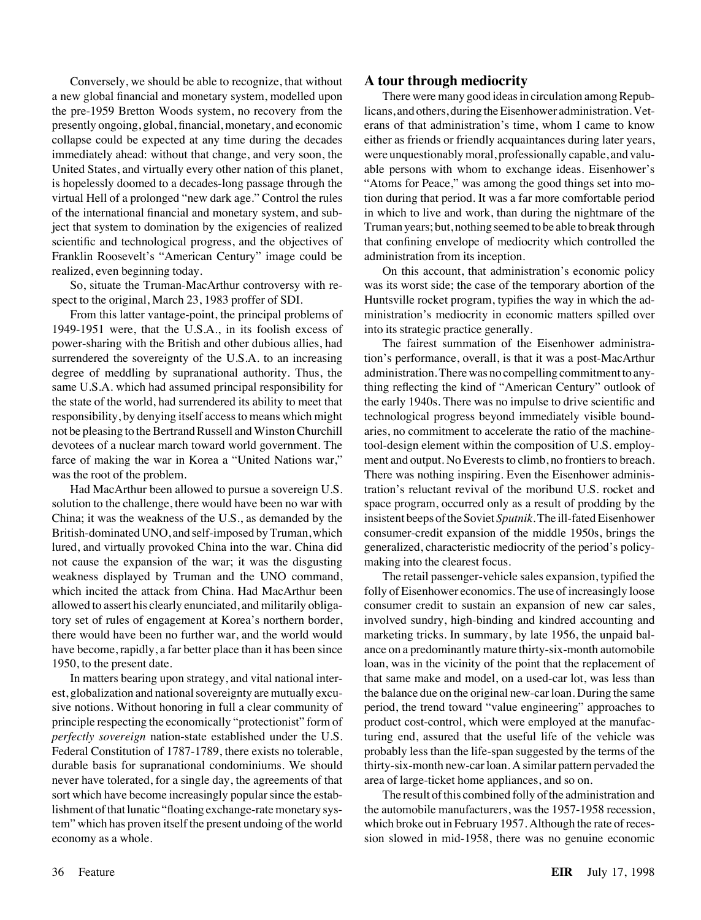Conversely, we should be able to recognize, that without a new global financial and monetary system, modelled upon the pre-1959 Bretton Woods system, no recovery from the presently ongoing, global, financial, monetary, and economic collapse could be expected at any time during the decades immediately ahead: without that change, and very soon, the United States, and virtually every other nation of this planet, is hopelessly doomed to a decades-long passage through the virtual Hell of a prolonged "new dark age." Control the rules of the international financial and monetary system, and subject that system to domination by the exigencies of realized scientific and technological progress, and the objectives of Franklin Roosevelt's "American Century" image could be realized, even beginning today.

So, situate the Truman-MacArthur controversy with respect to the original, March 23, 1983 proffer of SDI.

From this latter vantage-point, the principal problems of 1949-1951 were, that the U.S.A., in its foolish excess of power-sharing with the British and other dubious allies, had surrendered the sovereignty of the U.S.A. to an increasing degree of meddling by supranational authority. Thus, the same U.S.A. which had assumed principal responsibility for the state of the world, had surrendered its ability to meet that responsibility, by denying itself access to means which might not be pleasing to the Bertrand Russell and Winston Churchill devotees of a nuclear march toward world government. The farce of making the war in Korea a "United Nations war," was the root of the problem.

Had MacArthur been allowed to pursue a sovereign U.S. solution to the challenge, there would have been no war with China; it was the weakness of the U.S., as demanded by the British-dominated UNO, and self-imposed by Truman, which lured, and virtually provoked China into the war. China did not cause the expansion of the war; it was the disgusting weakness displayed by Truman and the UNO command, which incited the attack from China. Had MacArthur been allowed to assert his clearly enunciated, and militarily obligatory set of rules of engagement at Korea's northern border, there would have been no further war, and the world would have become, rapidly, a far better place than it has been since 1950, to the present date.

In matters bearing upon strategy, and vital national interest, globalization and national sovereignty are mutually excusive notions. Without honoring in full a clear community of principle respecting the economically "protectionist" form of *perfectly sovereign* nation-state established under the U.S. Federal Constitution of 1787-1789, there exists no tolerable, durable basis for supranational condominiums. We should never have tolerated, for a single day, the agreements of that sort which have become increasingly popular since the establishment of that lunatic "floating exchange-rate monetary system" which has proven itself the present undoing of the world economy as a whole.

#### **A tour through mediocrity**

There were many good ideas in circulation among Republicans, and others, during the Eisenhower administration. Veterans of that administration's time, whom I came to know either as friends or friendly acquaintances during later years, were unquestionably moral, professionally capable, and valuable persons with whom to exchange ideas. Eisenhower's "Atoms for Peace," was among the good things set into motion during that period. It was a far more comfortable period in which to live and work, than during the nightmare of the Truman years; but, nothing seemed to be able to break through that confining envelope of mediocrity which controlled the administration from its inception.

On this account, that administration's economic policy was its worst side; the case of the temporary abortion of the Huntsville rocket program, typifies the way in which the administration's mediocrity in economic matters spilled over into its strategic practice generally.

The fairest summation of the Eisenhower administration's performance, overall, is that it was a post-MacArthur administration. There was no compelling commitment to anything reflecting the kind of "American Century" outlook of the early 1940s. There was no impulse to drive scientific and technological progress beyond immediately visible boundaries, no commitment to accelerate the ratio of the machinetool-design element within the composition of U.S. employment and output. No Everests to climb, no frontiers to breach. There was nothing inspiring. Even the Eisenhower administration's reluctant revival of the moribund U.S. rocket and space program, occurred only as a result of prodding by the insistent beeps of the Soviet *Sputnik.*The ill-fated Eisenhower consumer-credit expansion of the middle 1950s, brings the generalized, characteristic mediocrity of the period's policymaking into the clearest focus.

The retail passenger-vehicle sales expansion, typified the folly of Eisenhower economics. The use of increasingly loose consumer credit to sustain an expansion of new car sales, involved sundry, high-binding and kindred accounting and marketing tricks. In summary, by late 1956, the unpaid balance on a predominantly mature thirty-six-month automobile loan, was in the vicinity of the point that the replacement of that same make and model, on a used-car lot, was less than the balance due on the original new-car loan. During the same period, the trend toward "value engineering" approaches to product cost-control, which were employed at the manufacturing end, assured that the useful life of the vehicle was probably less than the life-span suggested by the terms of the thirty-six-month new-car loan. A similar pattern pervaded the area of large-ticket home appliances, and so on.

The result of this combined folly of the administration and the automobile manufacturers, was the 1957-1958 recession, which broke out in February 1957. Although the rate of recession slowed in mid-1958, there was no genuine economic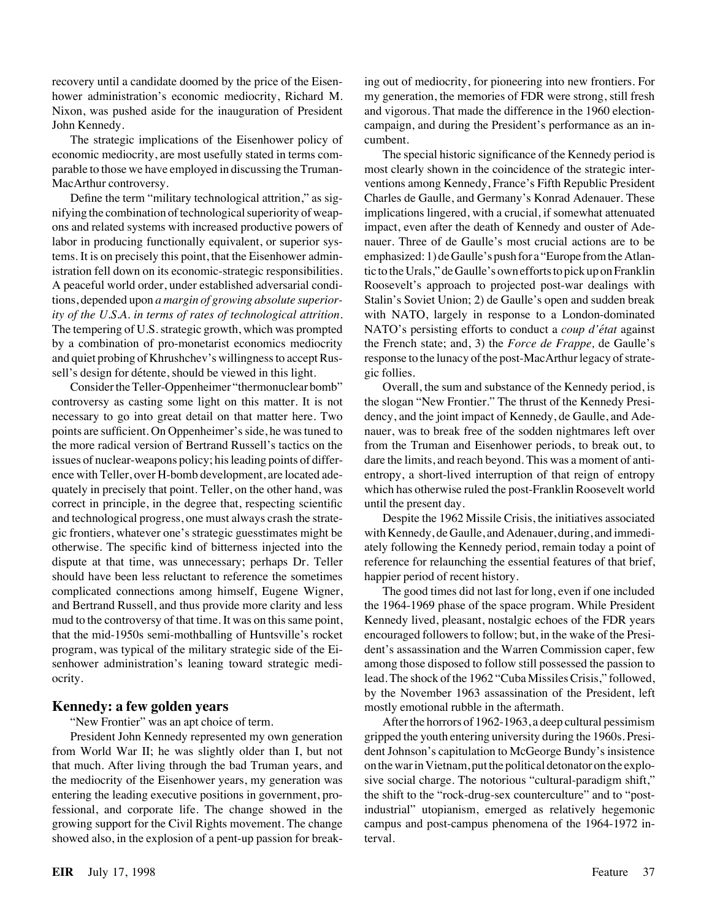recovery until a candidate doomed by the price of the Eisenhower administration's economic mediocrity, Richard M. Nixon, was pushed aside for the inauguration of President John Kennedy.

The strategic implications of the Eisenhower policy of economic mediocrity, are most usefully stated in terms comparable to those we have employed in discussing the Truman-MacArthur controversy.

Define the term "military technological attrition," as signifying the combination of technological superiority of weapons and related systems with increased productive powers of labor in producing functionally equivalent, or superior systems. It is on precisely this point, that the Eisenhower administration fell down on its economic-strategic responsibilities. A peaceful world order, under established adversarial conditions, depended upon *a margin of growing absolute superiority of the U.S.A. in terms of rates of technological attrition.* The tempering of U.S. strategic growth, which was prompted by a combination of pro-monetarist economics mediocrity and quiet probing of Khrushchev's willingness to accept Russell's design for détente, should be viewed in this light.

Consider the Teller-Oppenheimer "thermonuclear bomb" controversy as casting some light on this matter. It is not necessary to go into great detail on that matter here. Two points are sufficient. On Oppenheimer's side, he was tuned to the more radical version of Bertrand Russell's tactics on the issues of nuclear-weapons policy; his leading points of difference with Teller, over H-bomb development, are located adequately in precisely that point. Teller, on the other hand, was correct in principle, in the degree that, respecting scientific and technological progress, one must always crash the strategic frontiers, whatever one's strategic guesstimates might be otherwise. The specific kind of bitterness injected into the dispute at that time, was unnecessary; perhaps Dr. Teller should have been less reluctant to reference the sometimes complicated connections among himself, Eugene Wigner, and Bertrand Russell, and thus provide more clarity and less mud to the controversy of that time. It was on this same point, that the mid-1950s semi-mothballing of Huntsville's rocket program, was typical of the military strategic side of the Eisenhower administration's leaning toward strategic mediocrity.

#### **Kennedy: a few golden years**

"New Frontier" was an apt choice of term.

President John Kennedy represented my own generation from World War II; he was slightly older than I, but not that much. After living through the bad Truman years, and the mediocrity of the Eisenhower years, my generation was entering the leading executive positions in government, professional, and corporate life. The change showed in the growing support for the Civil Rights movement. The change showed also, in the explosion of a pent-up passion for breaking out of mediocrity, for pioneering into new frontiers. For my generation, the memories of FDR were strong, still fresh and vigorous. That made the difference in the 1960 electioncampaign, and during the President's performance as an incumbent.

The special historic significance of the Kennedy period is most clearly shown in the coincidence of the strategic interventions among Kennedy, France's Fifth Republic President Charles de Gaulle, and Germany's Konrad Adenauer. These implications lingered, with a crucial, if somewhat attenuated impact, even after the death of Kennedy and ouster of Adenauer. Three of de Gaulle's most crucial actions are to be emphasized: 1) de Gaulle's push for a "Europe from the Atlantic to the Urals," de Gaulle's own efforts to pick up on Franklin Roosevelt's approach to projected post-war dealings with Stalin's Soviet Union; 2) de Gaulle's open and sudden break with NATO, largely in response to a London-dominated NATO's persisting efforts to conduct a *coup d'état* against the French state; and, 3) the *Force de Frappe,* de Gaulle's response to the lunacy of the post-MacArthur legacy of strategic follies.

Overall, the sum and substance of the Kennedy period, is the slogan "New Frontier." The thrust of the Kennedy Presidency, and the joint impact of Kennedy, de Gaulle, and Adenauer, was to break free of the sodden nightmares left over from the Truman and Eisenhower periods, to break out, to dare the limits, and reach beyond. This was a moment of antientropy, a short-lived interruption of that reign of entropy which has otherwise ruled the post-Franklin Roosevelt world until the present day.

Despite the 1962 Missile Crisis, the initiatives associated with Kennedy, de Gaulle, and Adenauer, during, and immediately following the Kennedy period, remain today a point of reference for relaunching the essential features of that brief, happier period of recent history.

The good times did not last for long, even if one included the 1964-1969 phase of the space program. While President Kennedy lived, pleasant, nostalgic echoes of the FDR years encouraged followers to follow; but, in the wake of the President's assassination and the Warren Commission caper, few among those disposed to follow still possessed the passion to lead. The shock of the 1962 "Cuba Missiles Crisis," followed, by the November 1963 assassination of the President, left mostly emotional rubble in the aftermath.

After the horrors of 1962-1963, a deep cultural pessimism gripped the youth entering university during the 1960s. President Johnson's capitulation to McGeorge Bundy's insistence on the war in Vietnam, put the political detonator on the explosive social charge. The notorious "cultural-paradigm shift," the shift to the "rock-drug-sex counterculture" and to "postindustrial" utopianism, emerged as relatively hegemonic campus and post-campus phenomena of the 1964-1972 interval.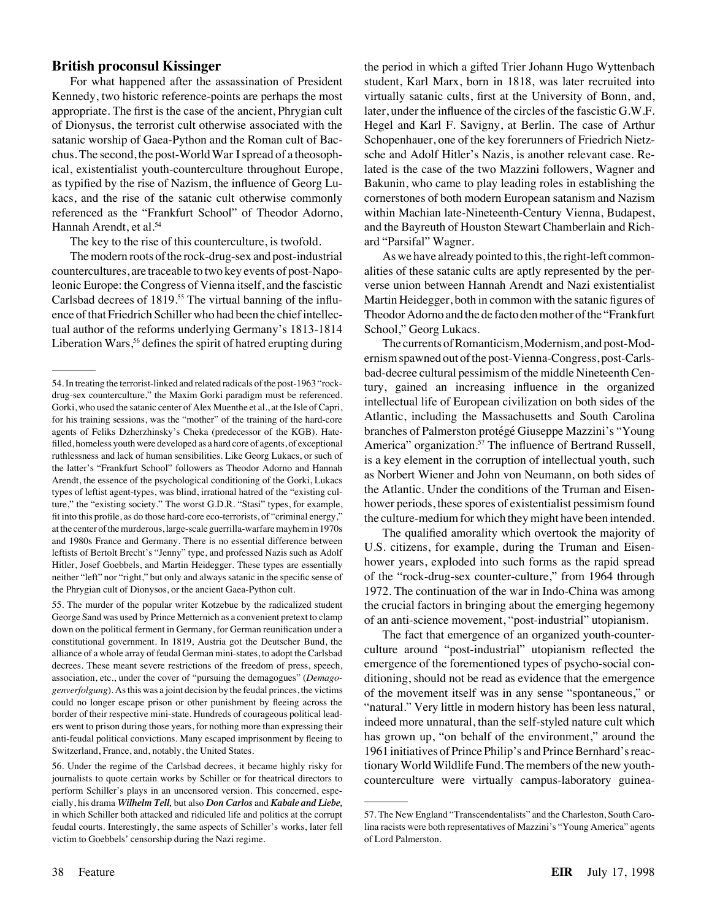#### **British proconsul Kissinger**

For what happened after the assassination of President Kennedy, two historic reference-points are perhaps the most appropriate. The first is the case of the ancient, Phrygian cult of Dionysus, the terrorist cult otherwise associated with the satanic worship of Gaea-Python and the Roman cult of Bacchus. The second, the post-World War I spread of a theosophical, existentialist youth-counterculture throughout Europe, as typified by the rise of Nazism, the influence of Georg Lukacs, and the rise of the satanic cult otherwise commonly referenced as the "Frankfurt School" of Theodor Adorno, Hannah Arendt, et al.<sup>54</sup>

The key to the rise of this counterculture, is twofold.

The modern roots of the rock-drug-sex and post-industrial countercultures, are traceable to two key events of post-Napoleonic Europe: the Congress of Vienna itself, and the fascistic Carlsbad decrees of 1819.<sup>55</sup> The virtual banning of the influence of that Friedrich Schiller who had been the chief intellectual author of the reforms underlying Germany's 1813-1814 Liberation Wars,<sup>56</sup> defines the spirit of hatred erupting during

55. The murder of the popular writer Kotzebue by the radicalized student George Sand was used by Prince Metternich as a convenient pretext to clamp down on the political ferment in Germany, for German reunification under a constitutional government. In 1819, Austria got the Deutscher Bund, the alliance of a whole array of feudal German mini-states, to adopt the Carlsbad decrees. These meant severe restrictions of the freedom of press, speech, association, etc., under the cover of "pursuing the demagogues" (*Demagogenverfolgung*). As this was a joint decision by the feudal princes, the victims could no longer escape prison or other punishment by fleeing across the border of their respective mini-state. Hundreds of courageous political leaders went to prison during those years, for nothing more than expressing their anti-feudal political convictions. Many escaped imprisonment by fleeing to Switzerland, France, and, notably, the United States.

56. Under the regime of the Carlsbad decrees, it became highly risky for journalists to quote certain works by Schiller or for theatrical directors to perform Schiller's plays in an uncensored version. This concerned, especially, his drama *Wilhelm Tell,* but also *Don Carlos* and *Kabale and Liebe,* in which Schiller both attacked and ridiculed life and politics at the corrupt feudal courts. Interestingly, the same aspects of Schiller's works, later fell victim to Goebbels' censorship during the Nazi regime.

the period in which a gifted Trier Johann Hugo Wyttenbach student, Karl Marx, born in 1818, was later recruited into virtually satanic cults, first at the University of Bonn, and, later, under the influence of the circles of the fascistic G.W.F. Hegel and Karl F. Savigny, at Berlin. The case of Arthur Schopenhauer, one of the key forerunners of Friedrich Nietzsche and Adolf Hitler's Nazis, is another relevant case. Related is the case of the two Mazzini followers, Wagner and Bakunin, who came to play leading roles in establishing the cornerstones of both modern European satanism and Nazism within Machian late-Nineteenth-Century Vienna, Budapest, and the Bayreuth of Houston Stewart Chamberlain and Richard "Parsifal" Wagner.

As we have already pointed to this, the right-left commonalities of these satanic cults are aptly represented by the perverse union between Hannah Arendt and Nazi existentialist Martin Heidegger, both in common with the satanic figures of Theodor Adorno and the de facto den mother of the "Frankfurt School," Georg Lukacs.

The currents of Romanticism, Modernism, and post-Modernism spawned out of the post-Vienna-Congress, post-Carlsbad-decree cultural pessimism of the middle Nineteenth Century, gained an increasing influence in the organized intellectual life of European civilization on both sides of the Atlantic, including the Massachusetts and South Carolina branches of Palmerston protégé Giuseppe Mazzini's "Young" America" organization.<sup>57</sup> The influence of Bertrand Russell, is a key element in the corruption of intellectual youth, such as Norbert Wiener and John von Neumann, on both sides of the Atlantic. Under the conditions of the Truman and Eisenhower periods, these spores of existentialist pessimism found the culture-medium for which they might have been intended.

The qualified amorality which overtook the majority of U.S. citizens, for example, during the Truman and Eisenhower years, exploded into such forms as the rapid spread of the "rock-drug-sex counter-culture," from 1964 through 1972. The continuation of the war in Indo-China was among the crucial factors in bringing about the emerging hegemony of an anti-science movement, "post-industrial" utopianism.

The fact that emergence of an organized youth-counterculture around "post-industrial" utopianism reflected the emergence of the forementioned types of psycho-social conditioning, should not be read as evidence that the emergence of the movement itself was in any sense "spontaneous," or "natural." Very little in modern history has been less natural, indeed more unnatural, than the self-styled nature cult which has grown up, "on behalf of the environment," around the 1961 initiatives of Prince Philip's and Prince Bernhard's reactionary World Wildlife Fund. The members of the new youthcounterculture were virtually campus-laboratory guinea-

<sup>54.</sup> In treating the terrorist-linked and related radicals of the post-1963 "rockdrug-sex counterculture," the Maxim Gorki paradigm must be referenced. Gorki, who used the satanic center of Alex Muenthe et al., at the Isle of Capri, for his training sessions, was the "mother" of the training of the hard-core agents of Feliks Dzherzhinsky's Cheka (predecessor of the KGB). Hatefilled, homeless youth were developed as a hard core of agents, of exceptional ruthlessness and lack of human sensibilities. Like Georg Lukacs, or such of the latter's "Frankfurt School" followers as Theodor Adorno and Hannah Arendt, the essence of the psychological conditioning of the Gorki, Lukacs types of leftist agent-types, was blind, irrational hatred of the "existing culture," the "existing society." The worst G.D.R. "Stasi" types, for example, fit into this profile, as do those hard-core eco-terrorists, of "criminal energy," at the center of the murderous, large-scale guerrilla-warfare mayhem in 1970s and 1980s France and Germany. There is no essential difference between leftists of Bertolt Brecht's "Jenny" type, and professed Nazis such as Adolf Hitler, Josef Goebbels, and Martin Heidegger. These types are essentially neither "left" nor "right," but only and always satanic in the specific sense of the Phrygian cult of Dionysos, or the ancient Gaea-Python cult.

<sup>57.</sup> The New England "Transcendentalists" and the Charleston, South Carolina racists were both representatives of Mazzini's "Young America" agents of Lord Palmerston.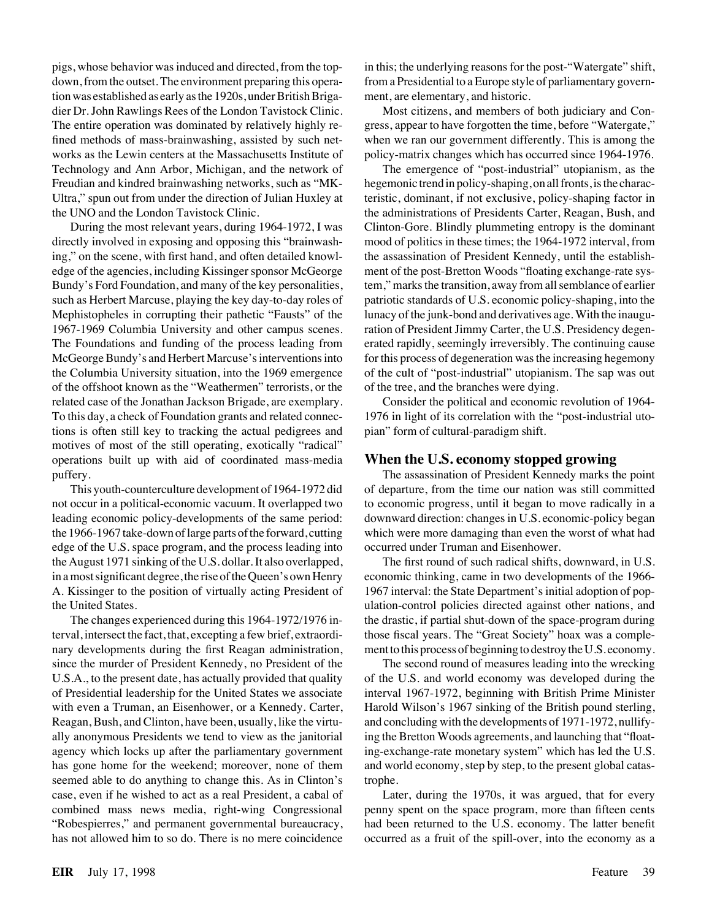pigs, whose behavior was induced and directed, from the topdown, from the outset. The environment preparing this operation was established as early as the 1920s, under British Brigadier Dr. John Rawlings Rees of the London Tavistock Clinic. The entire operation was dominated by relatively highly refined methods of mass-brainwashing, assisted by such networks as the Lewin centers at the Massachusetts Institute of Technology and Ann Arbor, Michigan, and the network of Freudian and kindred brainwashing networks, such as "MK-Ultra," spun out from under the direction of Julian Huxley at the UNO and the London Tavistock Clinic.

During the most relevant years, during 1964-1972, I was directly involved in exposing and opposing this "brainwashing," on the scene, with first hand, and often detailed knowledge of the agencies, including Kissinger sponsor McGeorge Bundy's Ford Foundation, and many of the key personalities, such as Herbert Marcuse, playing the key day-to-day roles of Mephistopheles in corrupting their pathetic "Fausts" of the 1967-1969 Columbia University and other campus scenes. The Foundations and funding of the process leading from McGeorge Bundy's and Herbert Marcuse's interventions into the Columbia University situation, into the 1969 emergence of the offshoot known as the "Weathermen" terrorists, or the related case of the Jonathan Jackson Brigade, are exemplary. To this day, a check of Foundation grants and related connections is often still key to tracking the actual pedigrees and motives of most of the still operating, exotically "radical" operations built up with aid of coordinated mass-media puffery.

This youth-counterculture development of 1964-1972 did not occur in a political-economic vacuum. It overlapped two leading economic policy-developments of the same period: the 1966-1967 take-down of large parts of the forward, cutting edge of the U.S. space program, and the process leading into the August 1971 sinking of the U.S. dollar. It also overlapped, in a most significant degree, the rise of the Queen's own Henry A. Kissinger to the position of virtually acting President of the United States.

The changes experienced during this 1964-1972/1976 interval, intersect the fact, that, excepting a few brief, extraordinary developments during the first Reagan administration, since the murder of President Kennedy, no President of the U.S.A., to the present date, has actually provided that quality of Presidential leadership for the United States we associate with even a Truman, an Eisenhower, or a Kennedy. Carter, Reagan, Bush, and Clinton, have been, usually, like the virtually anonymous Presidents we tend to view as the janitorial agency which locks up after the parliamentary government has gone home for the weekend; moreover, none of them seemed able to do anything to change this. As in Clinton's case, even if he wished to act as a real President, a cabal of combined mass news media, right-wing Congressional "Robespierres," and permanent governmental bureaucracy, has not allowed him to so do. There is no mere coincidence in this; the underlying reasons for the post-"Watergate" shift, from a Presidential to a Europe style of parliamentary government, are elementary, and historic.

Most citizens, and members of both judiciary and Congress, appear to have forgotten the time, before "Watergate," when we ran our government differently. This is among the policy-matrix changes which has occurred since 1964-1976.

The emergence of "post-industrial" utopianism, as the hegemonic trend in policy-shaping, on all fronts, is the characteristic, dominant, if not exclusive, policy-shaping factor in the administrations of Presidents Carter, Reagan, Bush, and Clinton-Gore. Blindly plummeting entropy is the dominant mood of politics in these times; the 1964-1972 interval, from the assassination of President Kennedy, until the establishment of the post-Bretton Woods "floating exchange-rate system," marks the transition, away from all semblance of earlier patriotic standards of U.S. economic policy-shaping, into the lunacy of the junk-bond and derivatives age. With the inauguration of President Jimmy Carter, the U.S. Presidency degenerated rapidly, seemingly irreversibly. The continuing cause for this process of degeneration was the increasing hegemony of the cult of "post-industrial" utopianism. The sap was out of the tree, and the branches were dying.

Consider the political and economic revolution of 1964- 1976 in light of its correlation with the "post-industrial utopian" form of cultural-paradigm shift.

#### **When the U.S. economy stopped growing**

The assassination of President Kennedy marks the point of departure, from the time our nation was still committed to economic progress, until it began to move radically in a downward direction: changes in U.S. economic-policy began which were more damaging than even the worst of what had occurred under Truman and Eisenhower.

The first round of such radical shifts, downward, in U.S. economic thinking, came in two developments of the 1966- 1967 interval: the State Department's initial adoption of population-control policies directed against other nations, and the drastic, if partial shut-down of the space-program during those fiscal years. The "Great Society" hoax was a complement to this process of beginning to destroy the U.S. economy.

The second round of measures leading into the wrecking of the U.S. and world economy was developed during the interval 1967-1972, beginning with British Prime Minister Harold Wilson's 1967 sinking of the British pound sterling, and concluding with the developments of 1971-1972, nullifying the Bretton Woods agreements, and launching that "floating-exchange-rate monetary system" which has led the U.S. and world economy, step by step, to the present global catastrophe.

Later, during the 1970s, it was argued, that for every penny spent on the space program, more than fifteen cents had been returned to the U.S. economy. The latter benefit occurred as a fruit of the spill-over, into the economy as a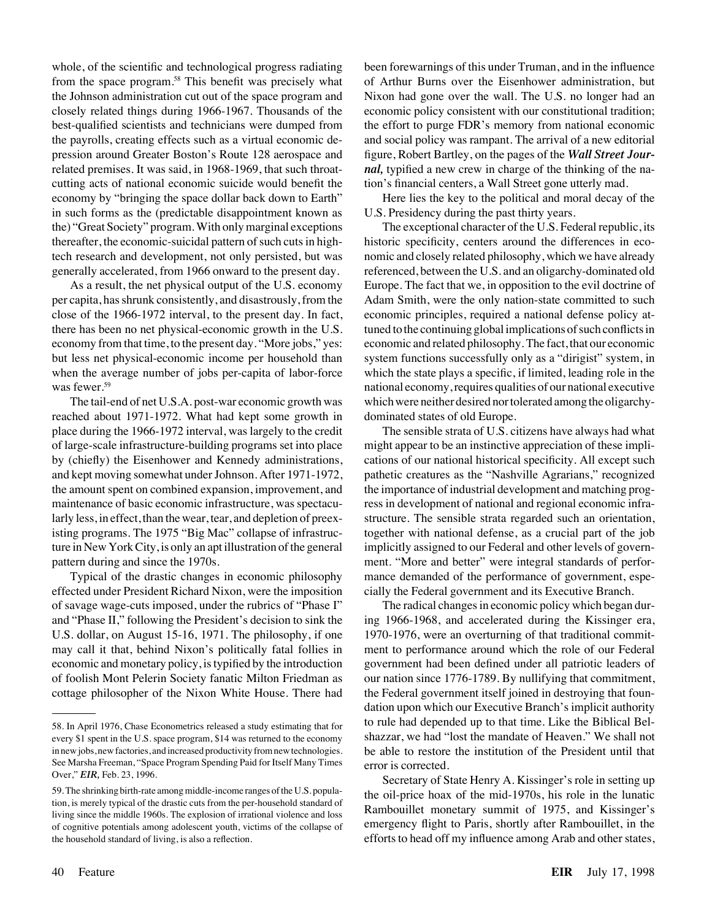whole, of the scientific and technological progress radiating from the space program.<sup>58</sup> This benefit was precisely what the Johnson administration cut out of the space program and closely related things during 1966-1967. Thousands of the best-qualified scientists and technicians were dumped from the payrolls, creating effects such as a virtual economic depression around Greater Boston's Route 128 aerospace and related premises. It was said, in 1968-1969, that such throatcutting acts of national economic suicide would benefit the economy by "bringing the space dollar back down to Earth" in such forms as the (predictable disappointment known as the) "Great Society" program. With only marginal exceptions thereafter, the economic-suicidal pattern of such cuts in hightech research and development, not only persisted, but was generally accelerated, from 1966 onward to the present day.

As a result, the net physical output of the U.S. economy per capita, has shrunk consistently, and disastrously, from the close of the 1966-1972 interval, to the present day. In fact, there has been no net physical-economic growth in the U.S. economy from that time, to the present day. "More jobs," yes: but less net physical-economic income per household than when the average number of jobs per-capita of labor-force was fewer.<sup>59</sup>

The tail-end of net U.S.A. post-war economic growth was reached about 1971-1972. What had kept some growth in place during the 1966-1972 interval, was largely to the credit of large-scale infrastructure-building programs set into place by (chiefly) the Eisenhower and Kennedy administrations, and kept moving somewhat under Johnson. After 1971-1972, the amount spent on combined expansion, improvement, and maintenance of basic economic infrastructure, was spectacularly less, in effect, than the wear, tear, and depletion of preexisting programs. The 1975 "Big Mac" collapse of infrastructure in New York City, is only an apt illustration of the general pattern during and since the 1970s.

Typical of the drastic changes in economic philosophy effected under President Richard Nixon, were the imposition of savage wage-cuts imposed, under the rubrics of "Phase I" and "Phase II," following the President's decision to sink the U.S. dollar, on August 15-16, 1971. The philosophy, if one may call it that, behind Nixon's politically fatal follies in economic and monetary policy, is typified by the introduction of foolish Mont Pelerin Society fanatic Milton Friedman as cottage philosopher of the Nixon White House. There had been forewarnings of this under Truman, and in the influence of Arthur Burns over the Eisenhower administration, but Nixon had gone over the wall. The U.S. no longer had an economic policy consistent with our constitutional tradition; the effort to purge FDR's memory from national economic and social policy was rampant. The arrival of a new editorial figure, Robert Bartley, on the pages of the *Wall Street Journal,* typified a new crew in charge of the thinking of the nation's financial centers, a Wall Street gone utterly mad.

Here lies the key to the political and moral decay of the U.S. Presidency during the past thirty years.

The exceptional character of the U.S. Federal republic, its historic specificity, centers around the differences in economic and closely related philosophy, which we have already referenced, between the U.S. and an oligarchy-dominated old Europe. The fact that we, in opposition to the evil doctrine of Adam Smith, were the only nation-state committed to such economic principles, required a national defense policy attuned to the continuing global implications of such conflicts in economic and related philosophy. The fact, that our economic system functions successfully only as a "dirigist" system, in which the state plays a specific, if limited, leading role in the national economy, requires qualities of our national executive which were neither desired nor tolerated among the oligarchydominated states of old Europe.

The sensible strata of U.S. citizens have always had what might appear to be an instinctive appreciation of these implications of our national historical specificity. All except such pathetic creatures as the "Nashville Agrarians," recognized the importance of industrial development and matching progress in development of national and regional economic infrastructure. The sensible strata regarded such an orientation, together with national defense, as a crucial part of the job implicitly assigned to our Federal and other levels of government. "More and better" were integral standards of performance demanded of the performance of government, especially the Federal government and its Executive Branch.

The radical changes in economic policy which began during 1966-1968, and accelerated during the Kissinger era, 1970-1976, were an overturning of that traditional commitment to performance around which the role of our Federal government had been defined under all patriotic leaders of our nation since 1776-1789. By nullifying that commitment, the Federal government itself joined in destroying that foundation upon which our Executive Branch's implicit authority to rule had depended up to that time. Like the Biblical Belshazzar, we had "lost the mandate of Heaven." We shall not be able to restore the institution of the President until that error is corrected.

Secretary of State Henry A. Kissinger's role in setting up the oil-price hoax of the mid-1970s, his role in the lunatic Rambouillet monetary summit of 1975, and Kissinger's emergency flight to Paris, shortly after Rambouillet, in the efforts to head off my influence among Arab and other states,

<sup>58.</sup> In April 1976, Chase Econometrics released a study estimating that for every \$1 spent in the U.S. space program, \$14 was returned to the economy in new jobs, new factories, and increased productivity from new technologies. See Marsha Freeman, "Space Program Spending Paid for Itself Many Times Over," *EIR,* Feb. 23, 1996.

<sup>59.</sup> The shrinking birth-rate among middle-income ranges of the U.S. population, is merely typical of the drastic cuts from the per-household standard of living since the middle 1960s. The explosion of irrational violence and loss of cognitive potentials among adolescent youth, victims of the collapse of the household standard of living, is also a reflection.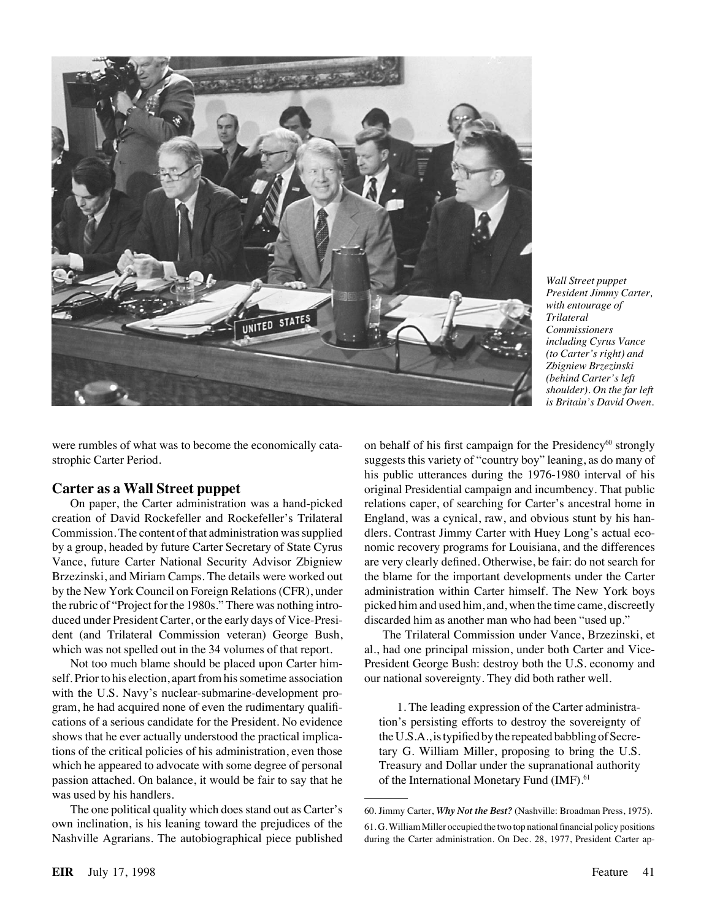

*Wall Street puppet President Jimmy Carter, with entourage of Trilateral Commissioners including Cyrus Vance (to Carter's right) and Zbigniew Brzezinski (behind Carter's left shoulder). On the far left is Britain's David Owen.*

were rumbles of what was to become the economically catastrophic Carter Period.

#### **Carter as a Wall Street puppet**

On paper, the Carter administration was a hand-picked creation of David Rockefeller and Rockefeller's Trilateral Commission. The content of that administration was supplied by a group, headed by future Carter Secretary of State Cyrus Vance, future Carter National Security Advisor Zbigniew Brzezinski, and Miriam Camps. The details were worked out by the New York Council on Foreign Relations (CFR), under the rubric of "Project for the 1980s." There was nothing introduced under President Carter, or the early days of Vice-President (and Trilateral Commission veteran) George Bush, which was not spelled out in the 34 volumes of that report.

Not too much blame should be placed upon Carter himself. Prior to his election, apart from his sometime association with the U.S. Navy's nuclear-submarine-development program, he had acquired none of even the rudimentary qualifications of a serious candidate for the President. No evidence shows that he ever actually understood the practical implications of the critical policies of his administration, even those which he appeared to advocate with some degree of personal passion attached. On balance, it would be fair to say that he was used by his handlers.

The one political quality which does stand out as Carter's own inclination, is his leaning toward the prejudices of the Nashville Agrarians. The autobiographical piece published on behalf of his first campaign for the Presidency $60$  strongly suggests this variety of "country boy" leaning, as do many of his public utterances during the 1976-1980 interval of his original Presidential campaign and incumbency. That public relations caper, of searching for Carter's ancestral home in England, was a cynical, raw, and obvious stunt by his handlers. Contrast Jimmy Carter with Huey Long's actual economic recovery programs for Louisiana, and the differences are very clearly defined. Otherwise, be fair: do not search for the blame for the important developments under the Carter administration within Carter himself. The New York boys picked him and used him, and, when the time came, discreetly discarded him as another man who had been "used up."

The Trilateral Commission under Vance, Brzezinski, et al., had one principal mission, under both Carter and Vice-President George Bush: destroy both the U.S. economy and our national sovereignty. They did both rather well.

1. The leading expression of the Carter administration's persisting efforts to destroy the sovereignty of the U.S.A., is typified by the repeated babbling of Secretary G. William Miller, proposing to bring the U.S. Treasury and Dollar under the supranational authority of the International Monetary Fund (IMF).<sup>61</sup>

<sup>60.</sup> Jimmy Carter, *Why Not the Best?* (Nashville: Broadman Press, 1975).

<sup>61.</sup> G. William Miller occupied the two top national financial policy positions during the Carter administration. On Dec. 28, 1977, President Carter ap-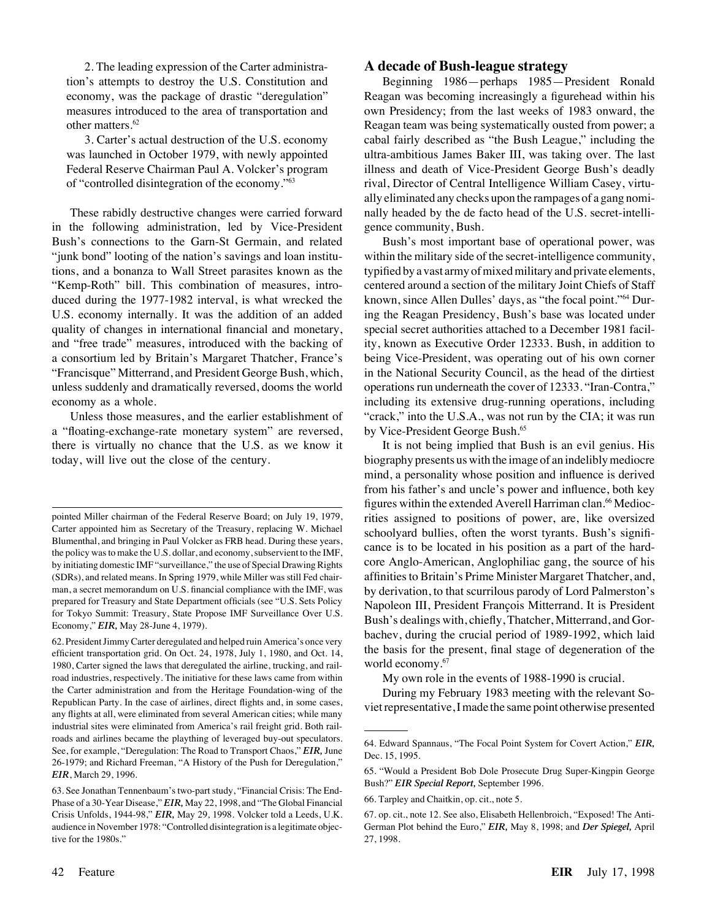2. The leading expression of the Carter administration's attempts to destroy the U.S. Constitution and economy, was the package of drastic "deregulation" measures introduced to the area of transportation and other matters.62

3. Carter's actual destruction of the U.S. economy was launched in October 1979, with newly appointed Federal Reserve Chairman Paul A. Volcker's program of "controlled disintegration of the economy."63

These rabidly destructive changes were carried forward in the following administration, led by Vice-President Bush's connections to the Garn-St Germain, and related "junk bond" looting of the nation's savings and loan institutions, and a bonanza to Wall Street parasites known as the "Kemp-Roth" bill. This combination of measures, introduced during the 1977-1982 interval, is what wrecked the U.S. economy internally. It was the addition of an added quality of changes in international financial and monetary, and "free trade" measures, introduced with the backing of a consortium led by Britain's Margaret Thatcher, France's "Francisque" Mitterrand, and President George Bush, which, unless suddenly and dramatically reversed, dooms the world economy as a whole.

Unless those measures, and the earlier establishment of a "floating-exchange-rate monetary system" are reversed, there is virtually no chance that the U.S. as we know it today, will live out the close of the century.

#### **A decade of Bush-league strategy**

Beginning 1986—perhaps 1985—President Ronald Reagan was becoming increasingly a figurehead within his own Presidency; from the last weeks of 1983 onward, the Reagan team was being systematically ousted from power; a cabal fairly described as "the Bush League," including the ultra-ambitious James Baker III, was taking over. The last illness and death of Vice-President George Bush's deadly rival, Director of Central Intelligence William Casey, virtually eliminated any checks upon the rampages of a gang nominally headed by the de facto head of the U.S. secret-intelligence community, Bush.

Bush's most important base of operational power, was within the military side of the secret-intelligence community, typified by a vast army of mixed military and private elements, centered around a section of the military Joint Chiefs of Staff known, since Allen Dulles' days, as "the focal point."64 During the Reagan Presidency, Bush's base was located under special secret authorities attached to a December 1981 facility, known as Executive Order 12333. Bush, in addition to being Vice-President, was operating out of his own corner in the National Security Council, as the head of the dirtiest operations run underneath the cover of 12333. "Iran-Contra," including its extensive drug-running operations, including "crack," into the U.S.A., was not run by the CIA; it was run by Vice-President George Bush.<sup>65</sup>

It is not being implied that Bush is an evil genius. His biography presents us with the image of an indelibly mediocre mind, a personality whose position and influence is derived from his father's and uncle's power and influence, both key figures within the extended Averell Harriman clan.<sup>66</sup> Mediocrities assigned to positions of power, are, like oversized schoolyard bullies, often the worst tyrants. Bush's significance is to be located in his position as a part of the hardcore Anglo-American, Anglophiliac gang, the source of his affinities to Britain's Prime Minister Margaret Thatcher, and, by derivation, to that scurrilous parody of Lord Palmerston's Napoleon III, President François Mitterrand. It is President Bush's dealings with, chiefly, Thatcher, Mitterrand, and Gorbachev, during the crucial period of 1989-1992, which laid the basis for the present, final stage of degeneration of the world economy.<sup>67</sup>

My own role in the events of 1988-1990 is crucial.

During my February 1983 meeting with the relevant Soviet representative, I made the same point otherwise presented

pointed Miller chairman of the Federal Reserve Board; on July 19, 1979, Carter appointed him as Secretary of the Treasury, replacing W. Michael Blumenthal, and bringing in Paul Volcker as FRB head. During these years, the policy was to make the U.S. dollar, and economy, subservient to the IMF, by initiating domestic IMF "surveillance," the use of Special Drawing Rights (SDRs), and related means. In Spring 1979, while Miller was still Fed chairman, a secret memorandum on U.S. financial compliance with the IMF, was prepared for Treasury and State Department officials (see "U.S. Sets Policy for Tokyo Summit: Treasury, State Propose IMF Surveillance Over U.S. Economy," *EIR,* May 28-June 4, 1979).

<sup>62.</sup> President Jimmy Carter deregulated and helped ruin America's once very efficient transportation grid. On Oct. 24, 1978, July 1, 1980, and Oct. 14, 1980, Carter signed the laws that deregulated the airline, trucking, and railroad industries, respectively. The initiative for these laws came from within the Carter administration and from the Heritage Foundation-wing of the Republican Party. In the case of airlines, direct flights and, in some cases, any flights at all, were eliminated from several American cities; while many industrial sites were eliminated from America's rail freight grid. Both railroads and airlines became the plaything of leveraged buy-out speculators. See, for example, "Deregulation: The Road to Transport Chaos," *EIR,* June 26-1979; and Richard Freeman, "A History of the Push for Deregulation," *EIR*, March 29, 1996.

<sup>63.</sup> See Jonathan Tennenbaum's two-part study, "Financial Crisis: The End-Phase of a 30-Year Disease," *EIR,* May 22, 1998, and "The Global Financial Crisis Unfolds, 1944-98," *EIR,* May 29, 1998. Volcker told a Leeds, U.K. audience in November 1978: "Controlled disintegration is a legitimate objective for the 1980s."

<sup>64.</sup> Edward Spannaus, "The Focal Point System for Covert Action," *EIR,* Dec. 15, 1995.

<sup>65. &</sup>quot;Would a President Bob Dole Prosecute Drug Super-Kingpin George Bush?" *EIR Special Report,* September 1996.

<sup>66.</sup> Tarpley and Chaitkin, op. cit., note 5.

<sup>67.</sup> op. cit., note 12. See also, Elisabeth Hellenbroich, "Exposed! The Anti-German Plot behind the Euro," *EIR,* May 8, 1998; and *Der Spiegel,* April 27, 1998.